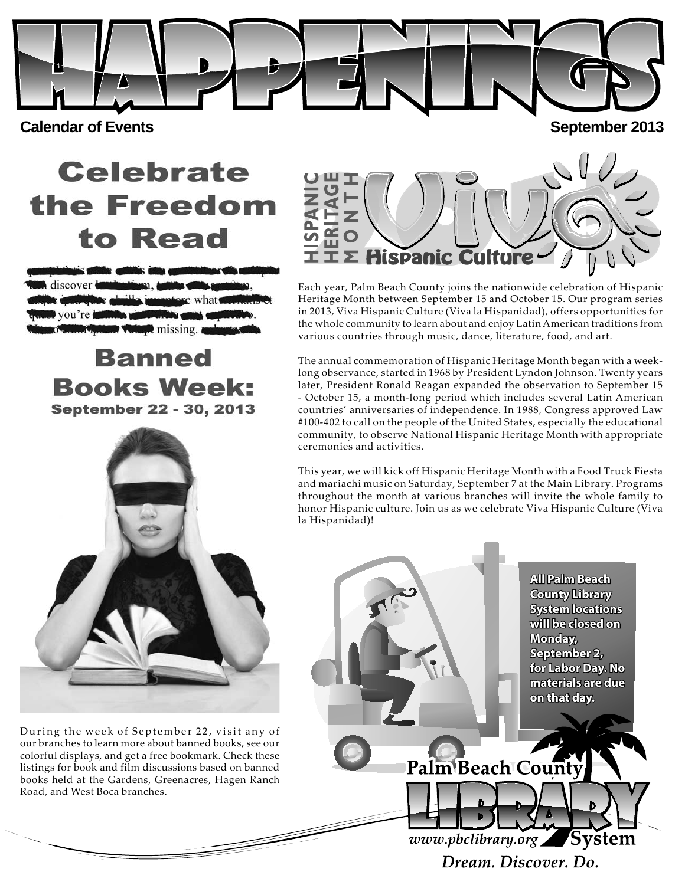**Calendar of Events** September 2013

# **Celebrate** the Freedom to Read

 $\lambda$  missing.

**Banned Books Week:** September 22 - 30, 2013



During the week of September 22, visit any of our branches to learn more about banned books, see our colorful displays, and get a free bookmark. Check these listings for book and film discussions based on banned books held at the Gardens, Greenacres, Hagen Ranch Road, and West Boca branches.



Each year, Palm Beach County joins the nationwide celebration of Hispanic Heritage Month between September 15 and October 15. Our program series in 2013, Viva Hispanic Culture (Viva la Hispanidad), offers opportunities for the whole community to learn about and enjoy Latin American traditions from various countries through music, dance, literature, food, and art.

The annual commemoration of Hispanic Heritage Month began with a weeklong observance, started in 1968 by President Lyndon Johnson. Twenty years later, President Ronald Reagan expanded the observation to September 15 - October 15, a month-long period which includes several Latin American countries' anniversaries of independence. In 1988, Congress approved Law #100-402 to call on the people of the United States, especially the educational community, to observe National Hispanic Heritage Month with appropriate ceremonies and activities.

This year, we will kick off Hispanic Heritage Month with a Food Truck Fiesta and mariachi music on Saturday, September 7 at the Main Library. Programs throughout the month at various branches will invite the whole family to honor Hispanic culture. Join us as we celebrate Viva Hispanic Culture (Viva la Hispanidad)!

> **All Palm Beach County Library System locations will be closed on Monday, September 2, for Labor Day. No materials are due on that day.**



www.pbclibrary.org System Dream, Discover, Do.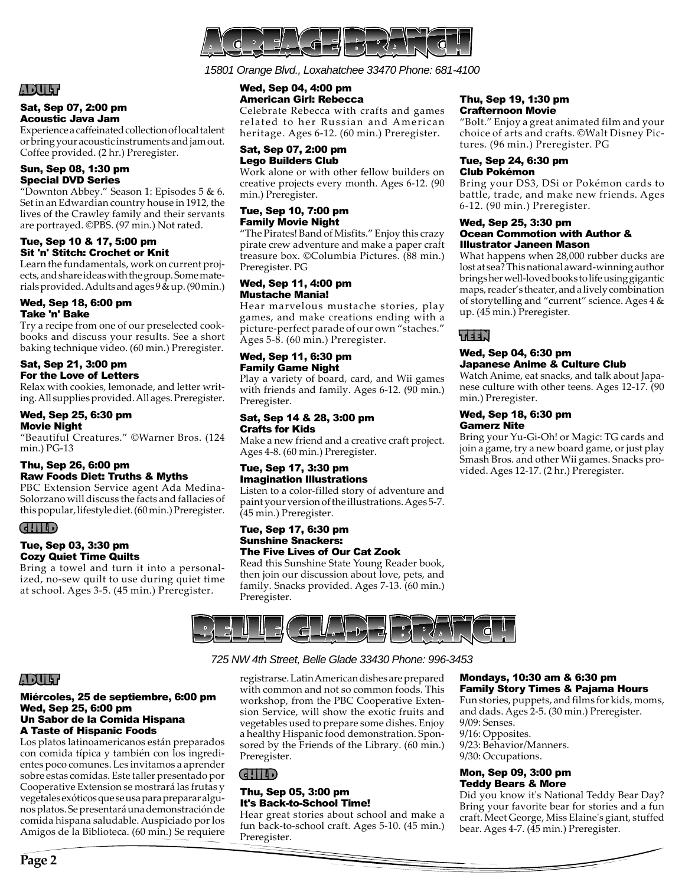

*15801 Orange Blvd., Loxahatchee 33470 Phone: 681-4100*

## ADULT

#### Sat, Sep 07, 2:00 pm Acoustic Java Jam

Experience a caffeinated collection of local talent or bring your acoustic instruments and jam out. Coffee provided. (2 hr.) Preregister.

#### Sun, Sep 08, 1:30 pm Special DVD Series

"Downton Abbey." Season 1: Episodes  $5 & 6$ . Set in an Edwardian country house in 1912, the lives of the Crawley family and their servants are portrayed. ©PBS. (97 min.) Not rated.

#### Tue, Sep 10 & 17, 5:00 pm Sit 'n' Stitch: Crochet or Knit

Learn the fundamentals, work on current projects, and share ideas with the group. Some materials provided. Adults and ages 9 & up. (90 min.)

#### Wed, Sep 18, 6:00 pm Take 'n' Bake

Try a recipe from one of our preselected cookbooks and discuss your results. See a short baking technique video. (60 min.) Preregister.

#### Sat, Sep 21, 3:00 pm For the Love of Letters

Relax with cookies, lemonade, and letter writing. All supplies provided. All ages. Preregister.

#### Wed, Sep 25, 6:30 pm Movie Night

"Beautiful Creatures." ©Warner Bros. (124 min.) PG-13

#### Thu, Sep 26, 6:00 pm Raw Foods Diet: Truths & Myths

PBC Extension Service agent Ada Medina-Solorzano will discuss the facts and fallacies of this popular, lifestyle diet. (60 min.) Preregister.

#### CHILD

#### Tue, Sep 03, 3:30 pm Cozy Quiet Time Quilts

Bring a towel and turn it into a personalized, no-sew quilt to use during quiet time at school. Ages 3-5. (45 min.) Preregister.

#### Wed, Sep 04, 4:00 pm American Girl: Rebecca

Celebrate Rebecca with crafts and games related to her Russian and American heritage. Ages 6-12. (60 min.) Preregister.

#### Sat, Sep 07, 2:00 pm Lego Builders Club

Work alone or with other fellow builders on creative projects every month. Ages 6-12. (90 min.) Preregister.

#### Tue, Sep 10, 7:00 pm Family Movie Night

"The Pirates! Band of Misfits." Enjoy this crazy pirate crew adventure and make a paper craft treasure box. ©Columbia Pictures. (88 min.) Preregister. PG

#### Wed, Sep 11, 4:00 pm Mustache Mania!

Hear marvelous mustache stories, play games, and make creations ending with a picture-perfect parade of our own "staches." Ages 5-8. (60 min.) Preregister.

#### Wed, Sep 11, 6:30 pm Family Game Night

Play a variety of board, card, and Wii games with friends and family. Ages 6-12. (90 min.) Preregister.

#### Sat, Sep 14 & 28, 3:00 pm Crafts for Kids

Make a new friend and a creative craft project. Ages 4-8. (60 min.) Preregister.

#### Tue, Sep 17, 3:30 pm Imagination Illustrations

Listen to a color-filled story of adventure and paint your version of the illustrations. Ages 5-7. (45 min.) Preregister.

#### Tue, Sep 17, 6:30 pm Sunshine Snackers: The Five Lives of Our Cat Zook

Read this Sunshine State Young Reader book, then join our discussion about love, pets, and family. Snacks provided. Ages 7-13. (60 min.) Preregister.



## *725 NW 4th Street, Belle Glade 33430 Phone: 996-3453*

registrarse. Latin American dishes are prepared with common and not so common foods. This workshop, from the PBC Cooperative Extension Service, will show the exotic fruits and vegetables used to prepare some dishes. Enjoy a healthy Hispanic food demonstration. Sponsored by the Friends of the Library. (60 min.) Preregister.

#### CHILD

#### Thu, Sep 05, 3:00 pm It's Back-to-School Time!

Hear great stories about school and make a fun back-to-school craft. Ages 5-10. (45 min.) Preregister.

#### Thu, Sep 19, 1:30 pm Crafternoon Movie

"Bolt." Enjoy a great animated film and your choice of arts and crafts. ©Walt Disney Pictures. (96 min.) Preregister. PG

#### Tue, Sep 24, 6:30 pm Club Pokémon

Bring your DS3, DSi or Pokémon cards to battle, trade, and make new friends. Ages 6-12. (90 min.) Preregister.

#### Wed, Sep 25, 3:30 pm Ocean Commotion with Author & Illustrator Janeen Mason

What happens when 28,000 rubber ducks are lost at sea? This national award-winning author brings her well-loved books to life using gigantic maps, reader's theater, and a lively combination of storytelling and "current" science. Ages 4 & up. (45 min.) Preregister.

## TEEN

#### Wed, Sep 04, 6:30 pm Japanese Anime & Culture Club

Watch Anime, eat snacks, and talk about Japanese culture with other teens. Ages 12-17. (90 min.) Preregister.

#### Wed, Sep 18, 6:30 pm Gamerz Nite

Bring your Yu-Gi-Oh! or Magic: TG cards and join a game, try a new board game, or just play Smash Bros. and other Wii games. Snacks provided. Ages 12-17. (2 hr.) Preregister.

#### Mondays, 10:30 am & 6:30 pm Family Story Times & Pajama Hours

Fun stories, puppets, and films for kids, moms, and dads. Ages 2-5. (30 min.) Preregister. 9/09: Senses. 9/16: Opposites. 9/23: Behavior/Manners.

9/30: Occupations.

#### Mon, Sep 09, 3:00 pm Teddy Bears & More

Did you know it's National Teddy Bear Day? Bring your favorite bear for stories and a fun craft. Meet George, Miss Elaine's giant, stuffed bear. Ages 4-7. (45 min.) Preregister.

#### Miércoles, 25 de septiembre, 6:00 pm Wed, Sep 25, 6:00 pm Un Sabor de la Comida Hispana A Taste of Hispanic Foods

Los platos latinoamericanos están preparados con comida típica y también con los ingredientes poco comunes. Les invitamos a aprender sobre estas comidas. Este taller presentado por Cooperative Extension se mostrará las frutas y vegetales exóticos que se usa para preparar algunos platos. Se presentará una demonstración de comida hispana saludable. Auspiciado por los Amigos de la Biblioteca. (60 min.) Se requiere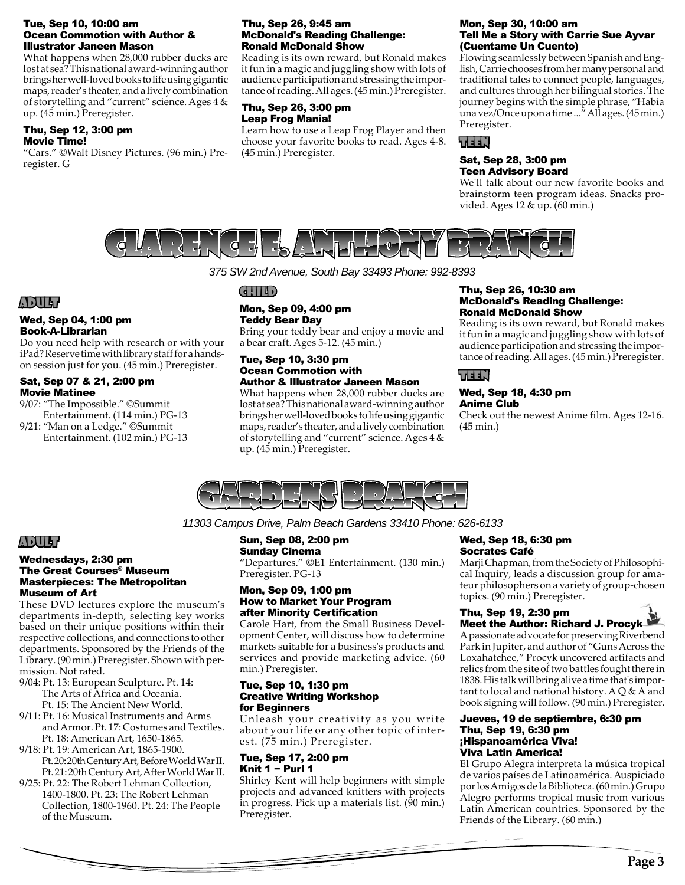#### Tue, Sep 10, 10:00 am Ocean Commotion with Author & Illustrator Janeen Mason

What happens when 28,000 rubber ducks are lost at sea? This national award-winning author brings her well-loved books to life using gigantic maps, reader's theater, and a lively combination of storytelling and "current" science. Ages 4 & up. (45 min.) Preregister.

#### Thu, Sep 12, 3:00 pm Movie Time!

"Cars." ©Walt Disney Pictures. (96 min.) Preregister. G

#### Thu, Sep 26, 9:45 am McDonald's Reading Challenge: Ronald McDonald Show

Reading is its own reward, but Ronald makes it fun in a magic and juggling show with lots of audience participation and stressing the importance of reading. All ages. (45 min.) Preregister.

#### Thu, Sep 26, 3:00 pm Leap Frog Mania!

Learn how to use a Leap Frog Player and then choose your favorite books to read. Ages 4-8. (45 min.) Preregister.

#### Mon, Sep 30, 10:00 am Tell Me a Story with Carrie Sue Ayvar (Cuentame Un Cuento)

Flowing seamlessly between Spanish and English, Carrie chooses from her many personal and traditional tales to connect people, languages, and cultures through her bilingual stories. The journey begins with the simple phrase, "Habia una vez/Once upon a time ..." All ages. (45 min.) Preregister.

## TEEN

#### Sat, Sep 28, 3:00 pm Teen Advisory Board

We'll talk about our new favorite books and brainstorm teen program ideas. Snacks provided. Ages 12 & up. (60 min.)



*375 SW 2nd Avenue, South Bay 33493 Phone: 992-8393*

## ADULT

#### Wed, Sep 04, 1:00 pm Book-A-Librarian

Do you need help with research or with your iPad? Reserve time with library staff for a handson session just for you. (45 min.) Preregister.

#### Sat, Sep 07 & 21, 2:00 pm Movie Matinee

9/07: "The Impossible." ©Summit Entertainment. (114 min.) PG-13

9/21: "Man on a Ledge." ©Summit Entertainment. (102 min.) PG-13

## CHILD

#### Mon, Sep 09, 4:00 pm Teddy Bear Day

Bring your teddy bear and enjoy a movie and a bear craft. Ages 5-12. (45 min.)

#### Tue, Sep 10, 3:30 pm Ocean Commotion with Author & Illustrator Janeen Mason

What happens when 28,000 rubber ducks are lost at sea? This national award-winning author brings her well-loved books to life using gigantic maps, reader's theater, and a lively combination of storytelling and "current" science. Ages 4 & up. (45 min.) Preregister.

#### Thu, Sep 26, 10:30 am McDonald's Reading Challenge: Ronald McDonald Show

Reading is its own reward, but Ronald makes it fun in a magic and juggling show with lots of audience participation and stressing the importance of reading. All ages. (45 min.) Preregister.

## WEEN

#### Wed, Sep 18, 4:30 pm Anime Club

Check out the newest Anime film. Ages 12-16. (45 min.)



*11303 Campus Drive, Palm Beach Gardens 33410 Phone: 626-6133*

## ADULT

#### Wednesdays, 2:30 pm The Great Courses® Museum Masterpieces: The Metropolitan Museum of Art

These DVD lectures explore the museum's departments in-depth, selecting key works based on their unique positions within their respective collections, and connections to other departments. Sponsored by the Friends of the Library. (90 min.) Preregister. Shown with permission. Not rated.

- 9/04: Pt. 13: European Sculpture. Pt. 14: The Arts of Africa and Oceania. Pt. 15: The Ancient New World.
- 9/11: Pt. 16: Musical Instruments and Arms and Armor. Pt. 17: Costumes and Textiles. Pt. 18: American Art, 1650-1865.
- 9/18: Pt. 19: American Art, 1865-1900. Pt. 20: 20th Century Art, Before World War II. Pt. 21: 20th Century Art, After World War II.
- 9/25: Pt. 22: The Robert Lehman Collection, 1400-1800. Pt. 23: The Robert Lehman Collection, 1800-1960. Pt. 24: The People of the Museum.

## Sun, Sep 08, 2:00 pm

Sunday Cinema "Departures." ©E1 Entertainment. (130 min.) Preregister. PG-13

#### Mon, Sep 09, 1:00 pm How to Market Your Program after Minority Certification

Carole Hart, from the Small Business Development Center, will discuss how to determine markets suitable for a business's products and services and provide marketing advice. (60 min.) Preregister.

#### Tue, Sep 10, 1:30 pm Creative Writing Workshop for Beginners

Unleash your creativity as you write about your life or any other topic of interest. (75 min.) Preregister.

#### Tue, Sep 17, 2:00 pm Knit 1 − Purl 1

Shirley Kent will help beginners with simple projects and advanced knitters with projects in progress. Pick up a materials list. (90 min.) Preregister.

#### Wed, Sep 18, 6:30 pm Socrates Café

Marji Chapman, from the Society of Philosophical Inquiry, leads a discussion group for amateur philosophers on a variety of group-chosen topics. (90 min.) Preregister.

#### Thu, Sep 19, 2:30 pm Meet the Author: Richard J. Procyk

A passionate advocate for preserving Riverbend Park in Jupiter, and author of "Guns Across the Loxahatchee," Procyk uncovered artifacts and relics from the site of two battles fought there in 1838. His talk will bring alive a time that's important to local and national history. A  $Q$  & A and book signing will follow. (90 min.) Preregister.

#### Jueves, 19 de septiembre, 6:30 pm Thu, Sep 19, 6:30 pm ¡Hispanoamérica Viva! Viva Latin America!

El Grupo Alegra interpreta la música tropical de varios países de Latinoamérica. Auspiciado por los Amigos de la Biblioteca. (60 min.) Grupo Alegro performs tropical music from various Latin American countries. Sponsored by the Friends of the Library. (60 min.)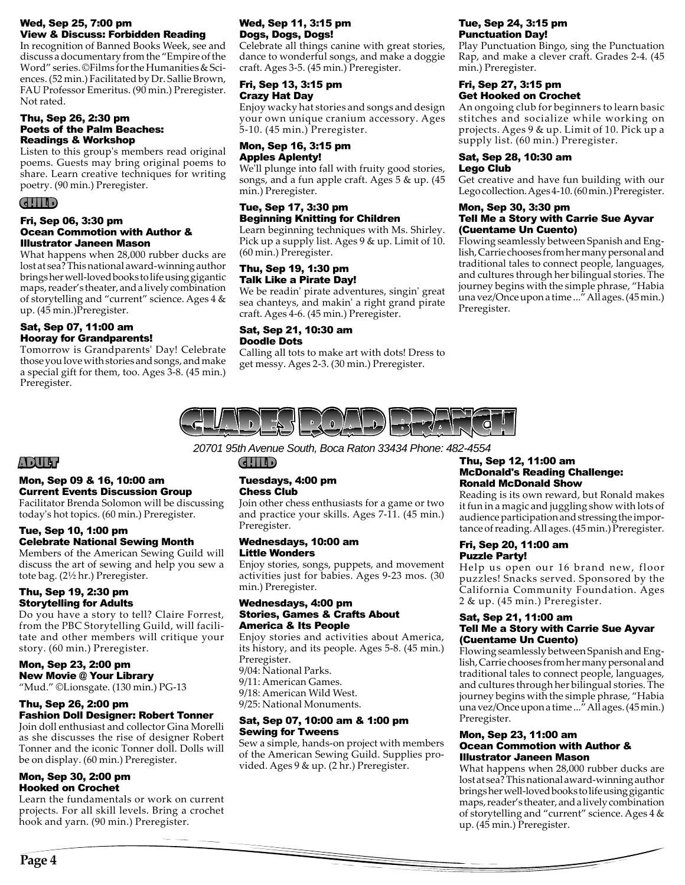#### Wed, Sep 25, 7:00 pm View & Discuss: Forbidden Reading

In recognition of Banned Books Week, see and discuss a documentary from the "Empire of the Word" series. ©Films for the Humanities & Sciences. (52 min.) Facilitated by Dr. Sallie Brown, FAU Professor Emeritus. (90 min.) Preregister. Not rated.

#### Thu, Sep 26, 2:30 pm Poets of the Palm Beaches: Readings & Workshop

Listen to this group's members read original poems. Guests may bring original poems to share. Learn creative techniques for writing poetry. (90 min.) Preregister.

## CHILD

#### Fri, Sep 06, 3:30 pm Ocean Commotion with Author & Illustrator Janeen Mason

What happens when 28,000 rubber ducks are lost at sea? This national award-winning author brings her well-loved books to life using gigantic maps, reader's theater, and a lively combination of storytelling and "current" science. Ages 4 & up. (45 min.)Preregister.

#### Sat, Sep 07, 11:00 am Hooray for Grandparents!

Tomorrow is Grandparents' Day! Celebrate those you love with stories and songs, and make a special gift for them, too. Ages 3-8. (45 min.) Preregister.

#### Wed, Sep 11, 3:15 pm Dogs, Dogs, Dogs!

Celebrate all things canine with great stories, dance to wonderful songs, and make a doggie craft. Ages 3-5. (45 min.) Preregister.

#### Fri, Sep 13, 3:15 pm Crazy Hat Day

Enjoy wacky hat stories and songs and design your own unique cranium accessory. Ages 5-10. (45 min.) Preregister.

#### Mon, Sep 16, 3:15 pm Apples Aplenty!

We'll plunge into fall with fruity good stories, songs, and a fun apple craft. Ages 5 & up. (45 min.) Preregister.

## Tue, Sep 17, 3:30 pm Beginning Knitting for Children

Learn beginning techniques with Ms. Shirley. Pick up a supply list. Ages 9 & up. Limit of 10. (60 min.) Preregister.

#### Thu, Sep 19, 1:30 pm Talk Like a Pirate Day!

We be readin' pirate adventures, singin' great sea chanteys, and makin' a right grand pirate craft. Ages 4-6. (45 min.) Preregister.

## Sat, Sep 21, 10:30 am Doodle Dots

Calling all tots to make art with dots! Dress to get messy. Ages 2-3. (30 min.) Preregister.

## Tue, Sep 24, 3:15 pm Punctuation Day!

Play Punctuation Bingo, sing the Punctuation Rap, and make a clever craft. Grades 2-4. (45 min.) Preregister.

#### Fri, Sep 27, 3:15 pm Get Hooked on Crochet

An ongoing club for beginners to learn basic stitches and socialize while working on projects. Ages 9 & up. Limit of 10. Pick up a supply list. (60 min.) Preregister.

#### Sat, Sep 28, 10:30 am Lego Club

Get creative and have fun building with our Lego collection. Ages 4-10. (60 min.) Preregister.

#### Mon, Sep 30, 3:30 pm Tell Me a Story with Carrie Sue Ayvar (Cuentame Un Cuento)

Flowing seamlessly between Spanish and English, Carrie chooses from her many personal and traditional tales to connect people, languages, and cultures through her bilingual stories. The journey begins with the simple phrase, "Habia una vez/Once upon a time ..." All ages. (45 min.) Preregister.



## ADULT

## Mon, Sep 09 & 16, 10:00 am Current Events Discussion Group

Facilitator Brenda Solomon will be discussing today's hot topics. (60 min.) Preregister.

#### Tue, Sep 10, 1:00 pm Celebrate National Sewing Month

Members of the American Sewing Guild will discuss the art of sewing and help you sew a tote bag. (2½ hr.) Preregister.

#### Thu, Sep 19, 2:30 pm Storytelling for Adults

Do you have a story to tell? Claire Forrest, from the PBC Storytelling Guild, will facilitate and other members will critique your story. (60 min.) Preregister.

## Mon, Sep 23, 2:00 pm New Movie @ Your Library

"Mud." ©Lionsgate. (130 min.) PG-13

#### Thu, Sep 26, 2:00 pm Fashion Doll Designer: Robert Tonner

Join doll enthusiast and collector Gina Morelli as she discusses the rise of designer Robert Tonner and the iconic Tonner doll. Dolls will be on display. (60 min.) Preregister.

#### Mon, Sep 30, 2:00 pm Hooked on Crochet

Learn the fundamentals or work on current projects. For all skill levels. Bring a crochet hook and yarn. (90 min.) Preregister.

## Tuesdays, 4:00 pm Chess Club

 $(d!||1|)$ 

Join other chess enthusiasts for a game or two and practice your skills. Ages 7-11. (45 min.) Preregister.

#### Wednesdays, 10:00 am Little Wonders

Enjoy stories, songs, puppets, and movement activities just for babies. Ages 9-23 mos. (30 min.) Preregister.

#### Wednesdays, 4:00 pm Stories, Games & Crafts About America & Its People

Enjoy stories and activities about America, its history, and its people. Ages 5-8. (45 min.) Preregister. 9/04: National Parks. 9/11: American Games. 9/18: American Wild West.

9/25: National Monuments.

#### Sat, Sep 07, 10:00 am & 1:00 pm Sewing for Tweens

Sew a simple, hands-on project with members of the American Sewing Guild. Supplies provided. Ages 9 & up. (2 hr.) Preregister.

#### *20701 95th Avenue South, Boca Raton 33434 Phone: 482-4554* Thu, Sep 12, 11:00 am McDonald's Reading Challenge: Ronald McDonald Show

Reading is its own reward, but Ronald makes it fun in a magic and juggling show with lots of audience participation and stressing the importance of reading. All ages. (45 min.) Preregister.

#### Fri, Sep 20, 11:00 am Puzzle Party!

Help us open our 16 brand new, floor puzzles! Snacks served. Sponsored by the California Community Foundation. Ages 2 & up. (45 min.) Preregister.

#### Sat, Sep 21, 11:00 am Tell Me a Story with Carrie Sue Ayvar (Cuentame Un Cuento)

Flowing seamlessly between Spanish and English, Carrie chooses from her many personal and traditional tales to connect people, languages, and cultures through her bilingual stories. The journey begins with the simple phrase, "Habia una vez/Once upon a time ..." All ages. (45 min.) Preregister.

#### Mon, Sep 23, 11:00 am Ocean Commotion with Author & Illustrator Janeen Mason

What happens when 28,000 rubber ducks are lost at sea? This national award-winning author brings her well-loved books to life using gigantic maps, reader's theater, and a lively combination of storytelling and "current" science. Ages 4 & up. (45 min.) Preregister.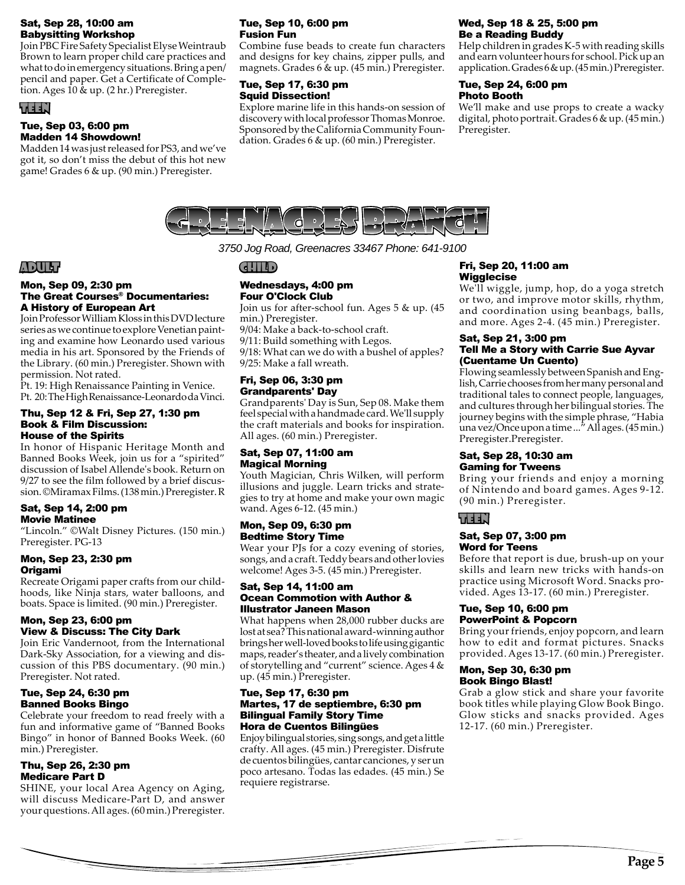#### Sat, Sep 28, 10:00 am Babysitting Workshop

Join PBC Fire Safety Specialist Elyse Weintraub Brown to learn proper child care practices and what to do in emergency situations. Bring a pen/ pencil and paper. Get a Certificate of Completion. Ages 10 & up. (2 hr.) Preregister.

## TEEN

#### Tue, Sep 03, 6:00 pm Madden 14 Showdown!

Madden 14 was just released for PS3, and we've got it, so don't miss the debut of this hot new game! Grades 6 & up. (90 min.) Preregister.

#### Tue, Sep 10, 6:00 pm Fusion Fun

Combine fuse beads to create fun characters and designs for key chains, zipper pulls, and magnets. Grades 6 & up. (45 min.) Preregister.

#### Tue, Sep 17, 6:30 pm Squid Dissection!

Explore marine life in this hands-on session of discovery with local professor Thomas Monroe. Sponsored by the California Community Foundation. Grades 6 & up. (60 min.) Preregister.

## Wed, Sep 18 & 25, 5:00 pm Be a Reading Buddy

Help children in grades K-5 with reading skills and earn volunteer hours for school. Pick up an application. Grades 6 & up. (45 min.) Preregister.

#### Tue, Sep 24, 6:00 pm Photo Booth

We'll make and use props to create a wacky digital, photo portrait. Grades 6 & up. (45 min.) Preregister.



*3750 Jog Road, Greenacres 33467 Phone: 641-9100*

## ADULT

#### Mon, Sep 09, 2:30 pm The Great Courses® Documentaries: A History of European Art

Join Professor William Kloss in this DVD lecture series as we continue to explore Venetian painting and examine how Leonardo used various media in his art. Sponsored by the Friends of the Library. (60 min.) Preregister. Shown with permission. Not rated.

Pt. 19: High Renaissance Painting in Venice. Pt. 20: The High Renaissance-Leonardo da Vinci.

#### Thu, Sep 12 & Fri, Sep 27, 1:30 pm Book & Film Discussion: House of the Spirits

In honor of Hispanic Heritage Month and Banned Books Week, join us for a "spirited" discussion of Isabel Allende's book. Return on 9/27 to see the film followed by a brief discussion. ©Miramax Films. (138 min.) Preregister. R

#### Sat, Sep 14, 2:00 pm Movie Matinee

"Lincoln." ©Walt Disney Pictures. (150 min.) Preregister. PG-13

#### Mon, Sep 23, 2:30 pm Origami

Recreate Origami paper crafts from our childhoods, like Ninja stars, water balloons, and boats. Space is limited. (90 min.) Preregister.

#### Mon, Sep 23, 6:00 pm View & Discuss: The City Dark

Join Eric Vandernoot, from the International Dark-Sky Association, for a viewing and discussion of this PBS documentary. (90 min.) Preregister. Not rated.

#### Tue, Sep 24, 6:30 pm Banned Books Bingo

Celebrate your freedom to read freely with a fun and informative game of "Banned Books Bingo" in honor of Banned Books Week. (60 min.) Preregister.

#### Thu, Sep 26, 2:30 pm Medicare Part D

SHINE, your local Area Agency on Aging, will discuss Medicare-Part D, and answer your questions. All ages. (60 min.) Preregister.

## CHILD

#### Wednesdays, 4:00 pm Four O'Clock Club

Join us for after-school fun. Ages 5 & up. (45 min.) Preregister.

9/04: Make a back-to-school craft.

9/11: Build something with Legos.

9/18: What can we do with a bushel of apples? 9/25: Make a fall wreath.

#### Fri, Sep 06, 3:30 pm Grandparents' Day

Grandparents' Day is Sun, Sep 08. Make them feel special with a handmade card. We'll supply the craft materials and books for inspiration. All ages. (60 min.) Preregister.

#### Sat, Sep 07, 11:00 am Magical Morning

Youth Magician, Chris Wilken, will perform illusions and juggle. Learn tricks and strategies to try at home and make your own magic wand. Ages 6-12. (45 min.)

#### Mon, Sep 09, 6:30 pm Bedtime Story Time

Wear your PJs for a cozy evening of stories, songs, and a craft. Teddy bears and other lovies welcome! Ages 3-5. (45 min.) Preregister.

#### Sat, Sep 14, 11:00 am Ocean Commotion with Author & Illustrator Janeen Mason

What happens when 28,000 rubber ducks are lost at sea? This national award-winning author brings her well-loved books to life using gigantic maps, reader's theater, and a lively combination of storytelling and "current" science. Ages 4 & up. (45 min.) Preregister.

#### Tue, Sep 17, 6:30 pm Martes, 17 de septiembre, 6:30 pm Bilingual Family Story Time Hora de Cuentos Bilingües

Enjoy bilingual stories, sing songs, and get a little crafty. All ages. (45 min.) Preregister. Disfrute de cuentos bilingües, cantar canciones, y ser un poco artesano. Todas las edades. (45 min.) Se requiere registrarse.

## Fri, Sep 20, 11:00 am **Wigglecise**

We'll wiggle, jump, hop, do a yoga stretch or two, and improve motor skills, rhythm, and coordination using beanbags, balls, and more. Ages 2-4. (45 min.) Preregister.

#### Sat, Sep 21, 3:00 pm Tell Me a Story with Carrie Sue Ayvar (Cuentame Un Cuento)

Flowing seamlessly between Spanish and English, Carrie chooses from her many personal and traditional tales to connect people, languages, and cultures through her bilingual stories. The journey begins with the simple phrase, "Habia una vez/Once upon a time ..." All ages. (45 min.) Preregister.Preregister.

#### Sat, Sep 28, 10:30 am Gaming for Tweens

Bring your friends and enjoy a morning of Nintendo and board games. Ages 9-12. (90 min.) Preregister.

## TEEN

#### Sat, Sep 07, 3:00 pm Word for Teens

Before that report is due, brush-up on your skills and learn new tricks with hands-on practice using Microsoft Word. Snacks provided. Ages 13-17. (60 min.) Preregister.

#### Tue, Sep 10, 6:00 pm PowerPoint & Popcorn

Bring your friends, enjoy popcorn, and learn how to edit and format pictures. Snacks provided. Ages 13-17. (60 min.) Preregister.

#### Mon, Sep 30, 6:30 pm Book Bingo Blast!

Grab a glow stick and share your favorite book titles while playing Glow Book Bingo. Glow sticks and snacks provided. Ages 12-17. (60 min.) Preregister.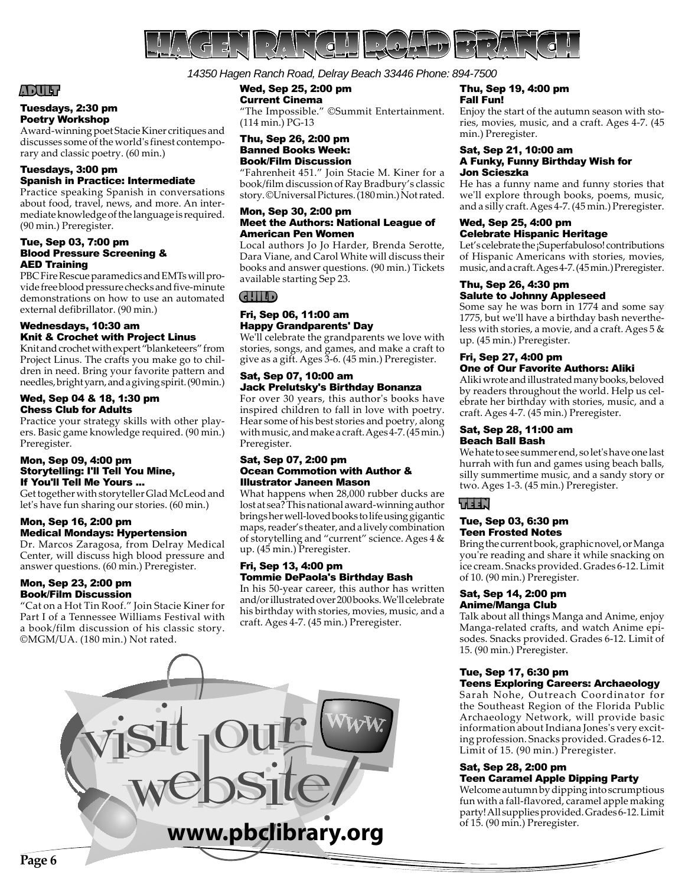

#### *14350 Hagen Ranch Road, Delray Beach 33446 Phone: 894-7500*

## Wed, Sep 25, 2:00 pm

Current Cinema "The Impossible." ©Summit Entertainment. (114 min.) PG-13

#### Thu, Sep 26, 2:00 pm Banned Books Week: Book/Film Discussion

"Fahrenheit 451." Join Stacie M. Kiner for a book/film discussion of Ray Bradbury's classic story. ©Universal Pictures. (180 min.) Not rated.

#### Mon, Sep 30, 2:00 pm Meet the Authors: National League of American Pen Women

Local authors Jo Jo Harder, Brenda Serotte, Dara Viane, and Carol White will discuss their books and answer questions. (90 min.) Tickets available starting Sep 23.

CHILD

#### Fri, Sep 06, 11:00 am Happy Grandparents' Day

We'll celebrate the grandparents we love with stories, songs, and games, and make a craft to give as a gift. Ages 3-6. (45 min.) Preregister.

#### Sat, Sep 07, 10:00 am Jack Prelutsky's Birthday Bonanza

For over 30 years, this author's books have inspired children to fall in love with poetry. Hear some of his best stories and poetry, along with music, and make a craft. Ages 4-7. (45 min.) Preregister.

#### Sat, Sep 07, 2:00 pm Ocean Commotion with Author & Illustrator Janeen Mason

What happens when 28,000 rubber ducks are lost at sea? This national award-winning author brings her well-loved books to life using gigantic maps, reader's theater, and a lively combination of storytelling and "current" science. Ages 4 & up. (45 min.) Preregister.

#### Fri, Sep 13, 4:00 pm Tommie DePaola's Birthday Bash

In his 50-year career, this author has written and/or illustrated over 200 books. We'll celebrate his birthday with stories, movies, music, and a craft. Ages 4-7. (45 min.) Preregister.



#### Thu, Sep 19, 4:00 pm Fall Fun!

Enjoy the start of the autumn season with stories, movies, music, and a craft. Ages 4-7. (45 min.) Preregister.

#### Sat, Sep 21, 10:00 am A Funky, Funny Birthday Wish for Jon Scieszka

He has a funny name and funny stories that we'll explore through books, poems, music, and a silly craft. Ages 4-7. (45 min.) Preregister.

#### Wed, Sep 25, 4:00 pm Celebrate Hispanic Heritage

Let's celebrate the ¡Superfabuloso! contributions of Hispanic Americans with stories, movies, music, and a craft. Ages 4-7. (45 min.) Preregister.

#### Thu, Sep 26, 4:30 pm Salute to Johnny Appleseed

Some say he was born in 1774 and some say 1775, but we'll have a birthday bash nevertheless with stories, a movie, and a craft. Ages 5 & up. (45 min.) Preregister.

#### Fri, Sep 27, 4:00 pm One of Our Favorite Authors: Aliki

Aliki wrote and illustrated many books, beloved by readers throughout the world. Help us celebrate her birthday with stories, music, and a craft. Ages 4-7. (45 min.) Preregister.

#### Sat, Sep 28, 11:00 am Beach Ball Bash

We hate to see summer end, so let's have one last hurrah with fun and games using beach balls, silly summertime music, and a sandy story or two. Ages 1-3. (45 min.) Preregister.

## TEEN

#### Tue, Sep 03, 6:30 pm Teen Frosted Notes

Bring the current book, graphic novel, or Manga you're reading and share it while snacking on ice cream. Snacks provided. Grades 6-12. Limit of 10. (90 min.) Preregister.

#### Sat, Sep 14, 2:00 pm Anime/Manga Club

Talk about all things Manga and Anime, enjoy Manga-related crafts, and watch Anime episodes. Snacks provided. Grades 6-12. Limit of 15. (90 min.) Preregister.

#### Tue, Sep 17, 6:30 pm Teens Exploring Careers: Archaeology

Sarah Nohe, Outreach Coordinator for the Southeast Region of the Florida Public Archaeology Network, will provide basic information about Indiana Jones's very exciting profession. Snacks provided. Grades 6-12. Limit of 15. (90 min.) Preregister.

#### Sat, Sep 28, 2:00 pm Teen Caramel Apple Dipping Party

Welcome autumn by dipping into scrumptious fun with a fall-flavored, caramel apple making party! All supplies provided. Grades 6-12. Limit of 15. (90 min.) Preregister.

## ADULT

#### Tuesdays, 2:30 pm Poetry Workshop

Award-winning poet Stacie Kiner critiques and discusses some of the world's finest contemporary and classic poetry. (60 min.)

#### Tuesdays, 3:00 pm Spanish in Practice: Intermediate

Practice speaking Spanish in conversations about food, travel, news, and more. An intermediate knowledge of the language is required. (90 min.) Preregister.

#### Tue, Sep 03, 7:00 pm Blood Pressure Screening & AED Training

PBC Fire Rescue paramedics and EMTs will provide free blood pressure checks and five-minute demonstrations on how to use an automated external defibrillator. (90 min.)

#### Wednesdays, 10:30 am Knit & Crochet with Project Linus

Knit and crochet with expert "blanketeers" from Project Linus. The crafts you make go to children in need. Bring your favorite pattern and needles, bright yarn, and a giving spirit. (90 min.)

#### Wed, Sep 04 & 18, 1:30 pm Chess Club for Adults

Practice your strategy skills with other players. Basic game knowledge required. (90 min.) Preregister.

#### Mon, Sep 09, 4:00 pm Storytelling: I'll Tell You Mine, If You'll Tell Me Yours ...

Get together with storyteller Glad McLeod and let's have fun sharing our stories. (60 min.)

#### Mon, Sep 16, 2:00 pm Medical Mondays: Hypertension

Dr. Marcos Zaragosa, from Delray Medical Center, will discuss high blood pressure and answer questions. (60 min.) Preregister.

#### Mon, Sep 23, 2:00 pm Book/Film Discussion

"Cat on a Hot Tin Roof." Join Stacie Kiner for Part I of a Tennessee Williams Festival with a book/film discussion of his classic story. ©MGM/UA. (180 min.) Not rated.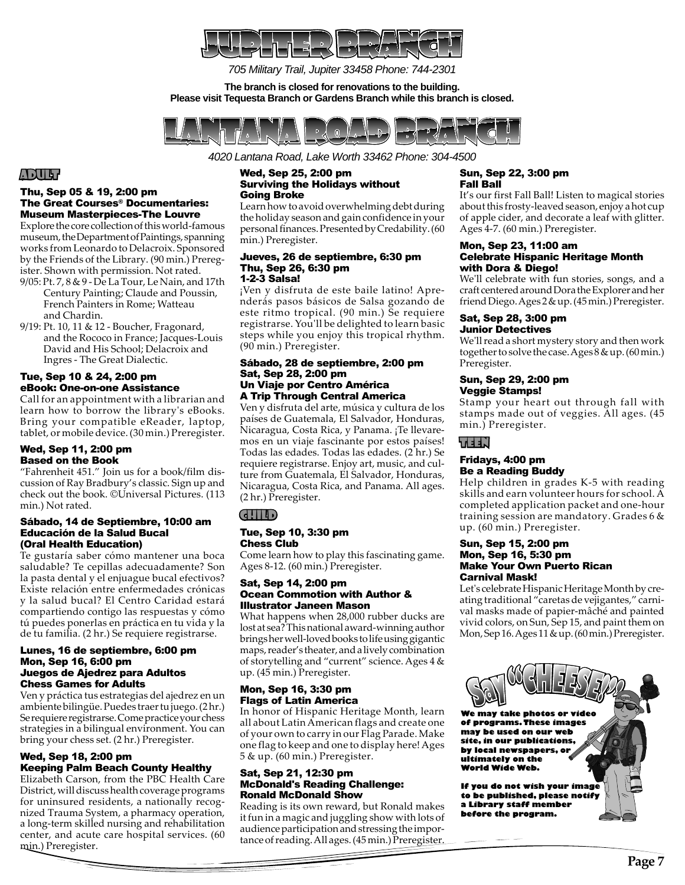

*705 Military Trail, Jupiter 33458 Phone: 744-2301*

**The branch is closed for renovations to the building. Please visit Tequesta Branch or Gardens Branch while this branch is closed.**



*4020 Lantana Road, Lake Worth 33462 Phone: 304-4500*

## ADULT

#### Thu, Sep 05 & 19, 2:00 pm The Great Courses® Documentaries: Museum Masterpieces-The Louvre

Explore the core collection of this world-famous museum, the Department of Paintings, spanning works from Leonardo to Delacroix. Sponsored by the Friends of the Library. (90 min.) Preregister. Shown with permission. Not rated.

- 9/05: Pt. 7, 8 & 9 De La Tour, Le Nain, and 17th Century Painting; Claude and Poussin, French Painters in Rome; Watteau and Chardin.
- 9/19: Pt. 10, 11 & 12 Boucher, Fragonard, and the Rococo in France; Jacques-Louis David and His School; Delacroix and Ingres - The Great Dialectic.

#### Tue, Sep 10 & 24, 2:00 pm eBook: One-on-one Assistance

Call for an appointment with a librarian and learn how to borrow the library's eBooks. Bring your compatible eReader, laptop, tablet, or mobile device. (30 min.) Preregister.

#### Wed, Sep 11, 2:00 pm Based on the Book

"Fahrenheit 451." Join us for a book/film discussion of Ray Bradbury's classic. Sign up and check out the book. ©Universal Pictures. (113 min.) Not rated.

#### Sábado, 14 de Septiembre, 10:00 am Educación de la Salud Bucal (Oral Health Education)

Te gustaría saber cómo mantener una boca saludable? Te cepillas adecuadamente? Son la pasta dental y el enjuague bucal efectivos? Existe relación entre enfermedades crónicas y la salud bucal? El Centro Caridad estará compartiendo contigo las respuestas y cómo tú puedes ponerlas en práctica en tu vida y la de tu familia. (2 hr.) Se requiere registrarse.

#### Lunes, 16 de septiembre, 6:00 pm Mon, Sep 16, 6:00 pm Juegos de Ajedrez para Adultos Chess Games for Adults

Ven y práctica tus estrategias del ajedrez en un ambiente bilingüe. Puedes traer tu juego. (2 hr.) Se requiere registrarse. Come practice your chess strategies in a bilingual environment. You can bring your chess set. (2 hr.) Preregister.

#### Wed, Sep 18, 2:00 pm Keeping Palm Beach County Healthy

Elizabeth Carson, from the PBC Health Care District, will discuss health coverage programs for uninsured residents, a nationally recognized Trauma System, a pharmacy operation, a long-term skilled nursing and rehabilitation center, and acute care hospital services. (60 min.) Preregister.

#### Wed, Sep 25, 2:00 pm Surviving the Holidays without Going Broke

Learn how to avoid overwhelming debt during the holiday season and gain confidence in your personal finances. Presented by Credability. (60 min.) Preregister.

#### Jueves, 26 de septiembre, 6:30 pm Thu, Sep 26, 6:30 pm 1-2-3 Salsa!

¡Ven y disfruta de este baile latino! Aprenderás pasos básicos de Salsa gozando de este ritmo tropical. (90 min.) Se requiere registrarse. You'll be delighted to learn basic steps while you enjoy this tropical rhythm. (90 min.) Preregister.

#### Sábado, 28 de septiembre, 2:00 pm Sat, Sep 28, 2:00 pm Un Viaje por Centro América A Trip Through Central America

Ven y disfruta del arte, música y cultura de los países de Guatemala, El Salvador, Honduras, Nicaragua, Costa Rica, y Panama. ¡Te llevaremos en un viaje fascinante por estos países! Todas las edades. Todas las edades. (2 hr.) Se requiere registrarse. Enjoy art, music, and culture from Guatemala, El Salvador, Honduras, Nicaragua, Costa Rica, and Panama. All ages. (2 hr.) Preregister.

## CHILD

#### Tue, Sep 10, 3:30 pm Chess Club

Come learn how to play this fascinating game. Ages 8-12. (60 min.) Preregister.

#### Sat, Sep 14, 2:00 pm Ocean Commotion with Author & Illustrator Janeen Mason

What happens when 28,000 rubber ducks are lost at sea? This national award-winning author brings her well-loved books to life using gigantic maps, reader's theater, and a lively combination of storytelling and "current" science. Ages 4 & up. (45 min.) Preregister.

#### Mon, Sep 16, 3:30 pm Flags of Latin America

In honor of Hispanic Heritage Month, learn all about Latin American flags and create one of your own to carry in our Flag Parade. Make one flag to keep and one to display here! Ages 5 & up. (60 min.) Preregister.

#### Sat, Sep 21, 12:30 pm McDonald's Reading Challenge: Ronald McDonald Show

Reading is its own reward, but Ronald makes it fun in a magic and juggling show with lots of audience participation and stressing the importance of reading. All ages. (45 min.) Preregister.

#### Sun, Sep 22, 3:00 pm Fall Ball

It's our first Fall Ball! Listen to magical stories about this frosty-leaved season, enjoy a hot cup of apple cider, and decorate a leaf with glitter. Ages 4-7. (60 min.) Preregister.

#### Mon, Sep 23, 11:00 am Celebrate Hispanic Heritage Month with Dora & Diego!

We'll celebrate with fun stories, songs, and a craft centered around Dora the Explorer and her friend Diego. Ages 2 & up. (45 min.) Preregister.

#### Sat, Sep 28, 3:00 pm Junior Detectives

We'll read a short mystery story and then work together to solve the case. Ages 8 & up. (60 min.) Preregister.

#### Sun, Sep 29, 2:00 pm Veggie Stamps!

Stamp your heart out through fall with stamps made out of veggies. All ages. (45 min.) Preregister.

## TEEN

#### Fridays, 4:00 pm Be a Reading Buddy

Help children in grades K-5 with reading skills and earn volunteer hours for school. A completed application packet and one-hour training session are mandatory. Grades 6 & up. (60 min.) Preregister.

#### Sun, Sep 15, 2:00 pm Mon, Sep 16, 5:30 pm Make Your Own Puerto Rican Carnival Mask!

Let's celebrate Hispanic Heritage Month by creating traditional "caretas de vejigantes," carnival masks made of papier-mâché and painted vivid colors, on Sun, Sep 15, and paint them on Mon, Sep 16. Ages 11 & up. (60 min.) Preregister.

**We may take photos or video of programs. These images may be used on our web site, in our publications, by local newspapers, or ultimately on the World Wide Web.**

**If you do not wish your image to be published, please notify a Library staff member before the program.**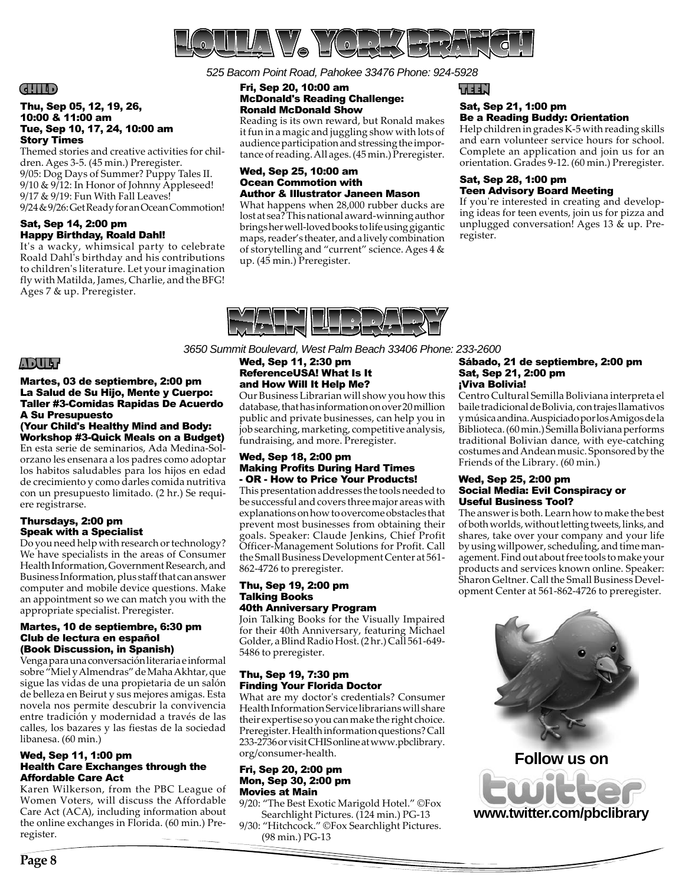

*525 Bacom Point Road, Pahokee 33476 Phone: 924-5928*

#### Fri, Sep 20, 10:00 am McDonald's Reading Challenge: Ronald McDonald Show

Reading is its own reward, but Ronald makes it fun in a magic and juggling show with lots of audience participation and stressing the importance of reading. All ages. (45 min.) Preregister.

#### Wed, Sep 25, 10:00 am Ocean Commotion with Author & Illustrator Janeen Mason

What happens when 28,000 rubber ducks are lost at sea? This national award-winning author brings her well-loved books to life using gigantic maps, reader's theater, and a lively combination of storytelling and "current" science. Ages 4 & up. (45 min.) Preregister.

#### TEEN

#### Sat, Sep 21, 1:00 pm Be a Reading Buddy: Orientation

Help children in grades K-5 with reading skills and earn volunteer service hours for school. Complete an application and join us for an orientation. Grades 9-12. (60 min.) Preregister.

#### Sat, Sep 28, 1:00 pm Teen Advisory Board Meeting

If you're interested in creating and developing ideas for teen events, join us for pizza and unplugged conversation! Ages 13 & up. Preregister.



*3650 Summit Boulevard, West Palm Beach 33406 Phone: 233-2600*

#### Wed, Sep 11, 2:30 pm ReferenceUSA! What Is It and How Will It Help Me?

Our Business Librarian will show you how this database, that has information on over 20 million public and private businesses, can help you in job searching, marketing, competitive analysis, fundraising, and more. Preregister.

#### Wed, Sep 18, 2:00 pm **Making Profits During Hard Times** - OR - How to Price Your Products!

This presentation addresses the tools needed to be successful and covers three major areas with explanations on how to overcome obstacles that prevent most businesses from obtaining their goals. Speaker: Claude Jenkins, Chief Profit Officer-Management Solutions for Profit. Call the Small Business Development Center at 561- 862-4726 to preregister.

#### Thu, Sep 19, 2:00 pm Talking Books 40th Anniversary Program

Join Talking Books for the Visually Impaired for their 40th Anniversary, featuring Michael Golder, a Blind Radio Host. (2 hr.) Call 561-649- 5486 to preregister.

## Thu, Sep 19, 7:30 pm Finding Your Florida Doctor

What are my doctor's credentials? Consumer Health Information Service librarians will share their expertise so you can make the right choice. Preregister. Health information questions? Call 233-2736 or visit CHIS online at www.pbclibrary. org/consumer-health.

#### Fri, Sep 20, 2:00 pm Mon, Sep 30, 2:00 pm Movies at Main

9/20: "The Best Exotic Marigold Hotel." ©Fox Searchlight Pictures. (124 min.) PG-13

9/30: "Hitchcock." ©Fox Searchlight Pictures. (98 min.) PG-13

#### Sábado, 21 de septiembre, 2:00 pm Sat, Sep 21, 2:00 pm ¡Viva Bolivia!

Centro Cultural Semilla Boliviana interpreta el baile tradicional de Bolivia, con trajes llamativos y música andina. Auspiciado por los Amigos de la Biblioteca. (60 min.) Semilla Boliviana performs traditional Bolivian dance, with eye-catching costumes and Andean music. Sponsored by the Friends of the Library. (60 min.)

#### Wed, Sep 25, 2:00 pm Social Media: Evil Conspiracy or Useful Business Tool?

The answer is both. Learn how to make the best of both worlds, without letting tweets, links, and shares, take over your company and your life by using willpower, scheduling, and time management. Find out about free tools to make your products and services known online. Speaker: Sharon Geltner. Call the Small Business Development Center at 561-862-4726 to preregister.



## CHILD

#### Thu, Sep 05, 12, 19, 26, 10:00 & 11:00 am Tue, Sep 10, 17, 24, 10:00 am Story Times

Themed stories and creative activities for children. Ages 3-5. (45 min.) Preregister. 9/05: Dog Days of Summer? Puppy Tales II. 9/10 & 9/12: In Honor of Johnny Appleseed! 9/17 & 9/19: Fun With Fall Leaves! 9/24 & 9/26: Get Ready for an Ocean Commotion!

#### Sat, Sep 14, 2:00 pm Happy Birthday, Roald Dahl!

It's a wacky, whimsical party to celebrate Roald Dahl's birthday and his contributions to children's literature. Let your imagination fly with Matilda, James, Charlie, and the BFG! Ages 7 & up. Preregister.

## ADULT

Martes, 03 de septiembre, 2:00 pm La Salud de Su Hijo, Mente y Cuerpo: Taller #3-Comidas Rapidas De Acuerdo A Su Presupuesto

### (Your Child's Healthy Mind and Body: Workshop #3-Quick Meals on a Budget)

En esta serie de seminarios, Ada Medina-Solorzano les ensenara a los padres como adoptar los habitos saludables para los hijos en edad de crecimiento y como darles comida nutritiva con un presupuesto limitado. (2 hr.) Se requiere registrarse.

## Thursdays, 2:00 pm Speak with a Specialist

Do you need help with research or technology? We have specialists in the areas of Consumer Health Information, Government Research, and Business Information, plus staff that can answer computer and mobile device questions. Make an appointment so we can match you with the appropriate specialist. Preregister.

#### Martes, 10 de septiembre, 6:30 pm Club de lectura en español (Book Discussion, in Spanish)

Venga para una conversación literaria e informal sobre "Miel y Almendras" de Maha Akhtar, que sigue las vidas de una propietaria de un salón de belleza en Beirut y sus mejores amigas. Esta novela nos permite descubrir la convivencia entre tradición y modernidad a través de las calles, los bazares y las fiestas de la sociedad libanesa. (60 min.)

#### Wed, Sep 11, 1:00 pm Health Care Exchanges through the Affordable Care Act

Karen Wilkerson, from the PBC League of Women Voters, will discuss the Affordable Care Act (ACA), including information about the online exchanges in Florida. (60 min.) Preregister.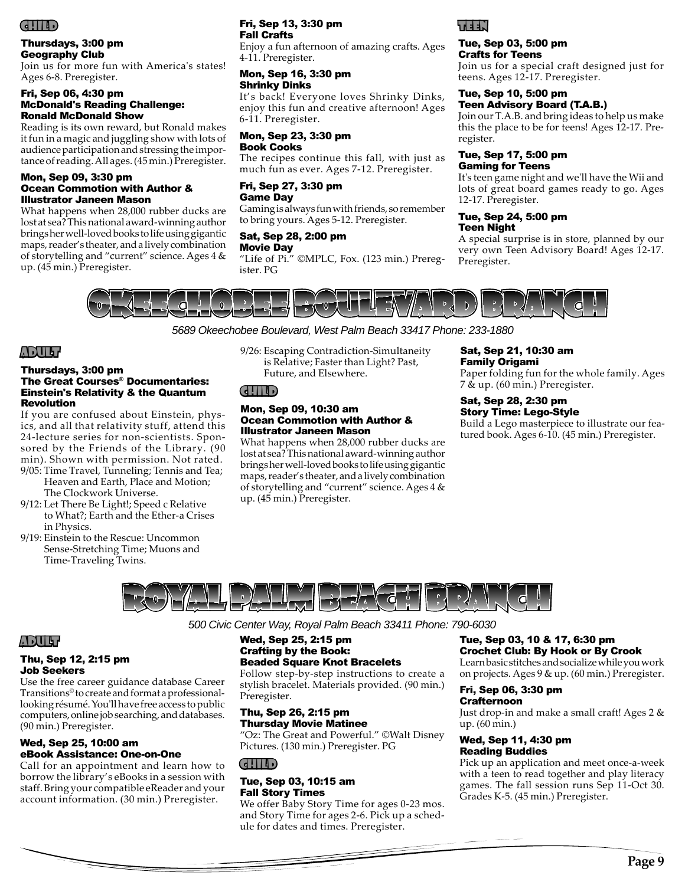

#### Thursdays, 3:00 pm Geography Club

Join us for more fun with America's states! Ages 6-8. Preregister.

#### Fri, Sep 06, 4:30 pm McDonald's Reading Challenge: Ronald McDonald Show

Reading is its own reward, but Ronald makes it fun in a magic and juggling show with lots of audience participation and stressing the importance of reading. All ages. (45 min.) Preregister.

#### Mon, Sep 09, 3:30 pm Ocean Commotion with Author & Illustrator Janeen Mason

What happens when 28,000 rubber ducks are lost at sea? This national award-winning author brings her well-loved books to life using gigantic maps, reader's theater, and a lively combination of storytelling and "current" science. Ages 4 & up. (45 min.) Preregister.

#### Fri, Sep 13, 3:30 pm Fall Crafts

Enjoy a fun afternoon of amazing crafts. Ages 4-11. Preregister.

#### Mon, Sep 16, 3:30 pm Shrinky Dinks

It's back! Everyone loves Shrinky Dinks, enjoy this fun and creative afternoon! Ages 6-11. Preregister.

#### Mon, Sep 23, 3:30 pm Book Cooks

The recipes continue this fall, with just as much fun as ever. Ages 7-12. Preregister.

#### Fri, Sep 27, 3:30 pm Game Day

Gaming is always fun with friends, so remember to bring yours. Ages 5-12. Preregister.

## Sat, Sep 28, 2:00 pm

Movie Day

"Life of Pi." ©MPLC, Fox. (123 min.) Preregister. PG



#### Tue, Sep 03, 5:00 pm Crafts for Teens

Join us for a special craft designed just for teens. Ages 12-17. Preregister.

#### Tue, Sep 10, 5:00 pm Teen Advisory Board (T.A.B.)

Join our T.A.B. and bring ideas to help us make this the place to be for teens! Ages 12-17. Preregister.

#### Tue, Sep 17, 5:00 pm Gaming for Teens

It's teen game night and we'll have the Wii and lots of great board games ready to go. Ages 12-17. Preregister.

#### Tue, Sep 24, 5:00 pm Teen Night

A special surprise is in store, planned by our very own Teen Advisory Board! Ages 12-17. Preregister.



## *5689 Okeechobee Boulevard, West Palm Beach 33417 Phone: 233-1880*

## ADULT

#### Thursdays, 3:00 pm The Great Courses® Documentaries: Einstein's Relativity & the Quantum Revolution

If you are confused about Einstein, physics, and all that relativity stuff, attend this 24-lecture series for non-scientists. Sponsored by the Friends of the Library. (90 min). Shown with permission. Not rated.

- 9/05: Time Travel, Tunneling; Tennis and Tea; Heaven and Earth, Place and Motion; The Clockwork Universe.
- 9/12: Let There Be Light!; Speed c Relative to What?; Earth and the Ether-a Crises in Physics.
- 9/19: Einstein to the Rescue: Uncommon Sense-Stretching Time; Muons and Time-Traveling Twins.

9/26: Escaping Contradiction-Simultaneity is Relative; Faster than Light? Past, Future, and Elsewhere.

## CHILD

#### Mon, Sep 09, 10:30 am Ocean Commotion with Author & Illustrator Janeen Mason

What happens when 28,000 rubber ducks are lost at sea? This national award-winning author brings her well-loved books to life using gigantic maps, reader's theater, and a lively combination of storytelling and "current" science. Ages 4 & up. (45 min.) Preregister.

#### Sat, Sep 21, 10:30 am Family Origami

Paper folding fun for the whole family. Ages 7 & up. (60 min.) Preregister.

#### Sat, Sep 28, 2:30 pm Story Time: Lego-Style

Build a Lego masterpiece to illustrate our featured book. Ages 6-10. (45 min.) Preregister.



*500 Civic Center Way, Royal Palm Beach 33411 Phone: 790-6030*

#### Wed, Sep 25, 2:15 pm Crafting by the Book: Beaded Square Knot Bracelets

Follow step-by-step instructions to create a stylish bracelet. Materials provided. (90 min.) Preregister.

#### Thu, Sep 26, 2:15 pm Thursday Movie Matinee

"Oz: The Great and Powerful." ©Walt Disney Pictures. (130 min.) Preregister. PG

#### CHILD

#### Tue, Sep 03, 10:15 am Fall Story Times

We offer Baby Story Time for ages 0-23 mos. and Story Time for ages 2-6. Pick up a schedule for dates and times. Preregister.

#### Tue, Sep 03, 10 & 17, 6:30 pm Crochet Club: By Hook or By Crook

Learn basic stitches and socialize while you work on projects. Ages 9 & up. (60 min.) Preregister.

#### Fri, Sep 06, 3:30 pm **Crafternoon**

Just drop-in and make a small craft! Ages 2 & up. (60 min.)

#### Wed, Sep 11, 4:30 pm Reading Buddies

Pick up an application and meet once-a-week with a teen to read together and play literacy games. The fall session runs Sep 11-Oct 30. Grades K-5. (45 min.) Preregister.

## ADULT

#### Thu, Sep 12, 2:15 pm Job Seekers

Use the free career guidance database Career Transitions© to create and format a professionallooking résumé. You'll have free access to public computers, online job searching, and databases. (90 min.) Preregister.

#### Wed, Sep 25, 10:00 am eBook Assistance: One-on-One

Call for an appointment and learn how to borrow the library's eBooks in a session with staff. Bring your compatible eReader and your account information. (30 min.) Preregister.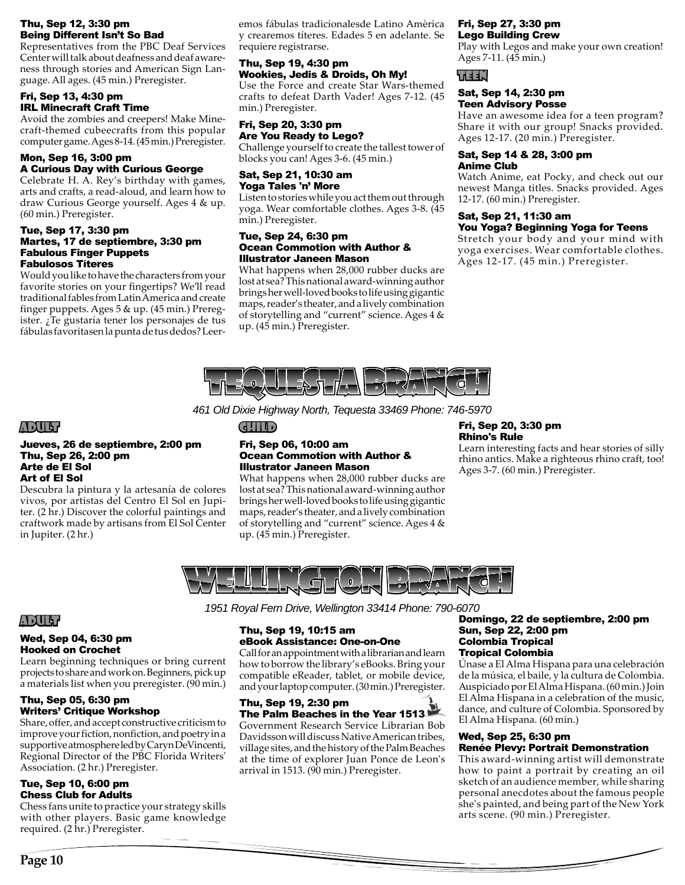#### Thu, Sep 12, 3:30 pm Being Different Isn't So Bad

Representatives from the PBC Deaf Services Center will talk about deafness and deaf awareness through stories and American Sign Language. All ages. (45 min.) Preregister.

#### Fri, Sep 13, 4:30 pm IRL Minecraft Craft Time

Avoid the zombies and creepers! Make Minecraft-themed cubeecrafts from this popular computer game. Ages 8-14. (45 min.) Preregister.

#### Mon, Sep 16, 3:00 pm A Curious Day with Curious George

Celebrate H. A. Rey's birthday with games, arts and crafts, a read-aloud, and learn how to draw Curious George yourself. Ages 4 & up. (60 min.) Preregister.

#### Tue, Sep 17, 3:30 pm Martes, 17 de septiembre, 3:30 pm Fabulous Finger Puppets Fabulosos Títeres

Would you like to have the characters from your favorite stories on your fingertips? We'll read traditional fables from Latin America and create finger puppets. Ages 5 & up. (45 min.) Preregister. ¿Te gustaría tener los personajes de tus fábulas favoritasen la punta de tus dedos? Leer-

emos fábulas tradicionalesde Latino Amèrica y crearemos títeres. Edades 5 en adelante. Se requiere registrarse.

#### Thu, Sep 19, 4:30 pm Wookies, Jedis & Droids, Oh My!

Use the Force and create Star Wars-themed crafts to defeat Darth Vader! Ages 7-12. (45 min.) Preregister.

#### Fri, Sep 20, 3:30 pm Are You Ready to Lego?

Challenge yourself to create the tallest tower of blocks you can! Ages 3-6. (45 min.)

## Sat, Sep 21, 10:30 am Yoga Tales 'n' More

Listen to stories while you act them out through yoga. Wear comfortable clothes. Ages 3-8. (45 min.) Preregister.

#### Tue, Sep 24, 6:30 pm Ocean Commotion with Author & Illustrator Janeen Mason

What happens when 28,000 rubber ducks are lost at sea? This national award-winning author brings her well-loved books to life using gigantic maps, reader's theater, and a lively combination of storytelling and "current" science. Ages 4 & up. (45 min.) Preregister.

#### Fri, Sep 27, 3:30 pm Lego Building Crew

Play with Legos and make your own creation! Ages 7-11. (45 min.)

## TEEN

#### Sat, Sep 14, 2:30 pm Teen Advisory Posse

Have an awesome idea for a teen program? Share it with our group! Snacks provided. Ages 12-17. (20 min.) Preregister.

#### Sat, Sep 14 & 28, 3:00 pm Anime Club

Watch Anime, eat Pocky, and check out our newest Manga titles. Snacks provided. Ages 12-17. (60 min.) Preregister.

#### Sat, Sep 21, 11:30 am You Yoga? Beginning Yoga for Teens

Stretch your body and your mind with yoga exercises. Wear comfortable clothes. Ages 12-17. (45 min.) Preregister.



*461 Old Dixie Highway North, Tequesta 33469 Phone: 746-5970*

## ADULT

#### Jueves, 26 de septiembre, 2:00 pm Thu, Sep 26, 2:00 pm Arte de El Sol Art of El Sol

Descubra la pintura y la artesanía de colores vivos, por artistas del Centro El Sol en Jupiter. (2 hr.) Discover the colorful paintings and craftwork made by artisans from El Sol Center in Jupiter. (2 hr.)

## CHILD

#### Fri, Sep 06, 10:00 am Ocean Commotion with Author & Illustrator Janeen Mason

What happens when 28,000 rubber ducks are lost at sea? This national award-winning author brings her well-loved books to life using gigantic maps, reader's theater, and a lively combination of storytelling and "current" science. Ages 4 & up. (45 min.) Preregister.

#### Fri, Sep 20, 3:30 pm Rhino's Rule

Learn interesting facts and hear stories of silly rhino antics. Make a righteous rhino craft, too! Ages 3-7. (60 min.) Preregister.



## ADULT

#### Wed, Sep 04, 6:30 pm Hooked on Crochet

Learn beginning techniques or bring current projects to share and work on. Beginners, pick up a materials list when you preregister. (90 min.)

#### Thu, Sep 05, 6:30 pm Writers' Critique Workshop

Share, offer, and accept constructive criticism to improve your fiction, nonfiction, and poetry in a supportive atmosphere led by Caryn DeVincenti, Regional Director of the PBC Florida Writers' Association. (2 hr.) Preregister.

#### Tue, Sep 10, 6:00 pm Chess Club for Adults

Chess fans unite to practice your strategy skills with other players. Basic game knowledge required. (2 hr.) Preregister.

*1951 Royal Fern Drive, Wellington 33414 Phone: 790-6070*

#### Thu, Sep 19, 10:15 am eBook Assistance: One-on-One

Call for an appointment with a librarian and learn how to borrow the library's eBooks. Bring your compatible eReader, tablet, or mobile device, and your laptop computer. (30 min.) Preregister.

## Thu, Sep 19, 2:30 pm The Palm Beaches in the Year 1513

Government Research Service Librarian Bob Davidsson will discuss Native American tribes, village sites, and the history of the Palm Beaches at the time of explorer Juan Ponce de Leon's arrival in 1513. (90 min.) Preregister.

#### Domingo, 22 de septiembre, 2:00 pm Sun, Sep 22, 2:00 pm Colombia Tropical Tropical Colombia

Únase a El Alma Hispana para una celebración de la música, el baile, y la cultura de Colombia. Auspiciado por El Alma Hispana. (60 min.) Join El Alma Hispana in a celebration of the music, dance, and culture of Colombia. Sponsored by El Alma Hispana. (60 min.)

#### Wed, Sep 25, 6:30 pm Renée Plevy: Portrait Demonstration

This award-winning artist will demonstrate how to paint a portrait by creating an oil sketch of an audience member, while sharing personal anecdotes about the famous people she's painted, and being part of the New York arts scene. (90 min.) Preregister.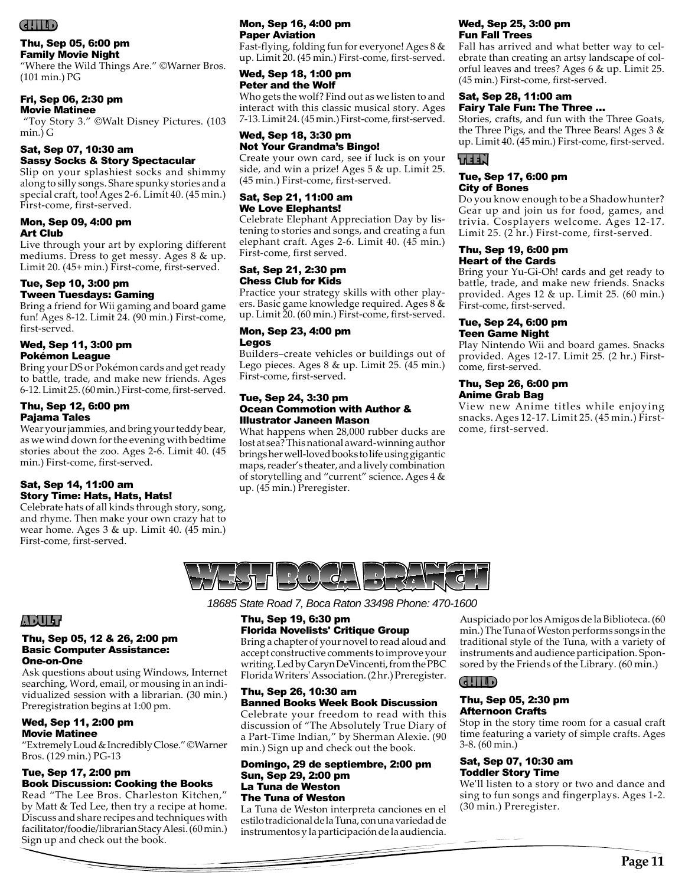## CHILD

#### Thu, Sep 05, 6:00 pm Family Movie Night

"Where the Wild Things Are." ©Warner Bros. (101 min.) PG

## Fri, Sep 06, 2:30 pm

Movie Matinee

 "Toy Story 3." ©Walt Disney Pictures. (103 min.) G

#### Sat, Sep 07, 10:30 am Sassy Socks & Story Spectacular

Slip on your splashiest socks and shimmy along to silly songs. Share spunky stories and a special craft, too! Ages 2-6. Limit 40. (45 min.) First-come, first-served.

#### Mon, Sep 09, 4:00 pm Art Club

Live through your art by exploring different mediums. Dress to get messy. Ages 8 & up. Limit 20. (45+ min.) First-come, first-served.

#### Tue, Sep 10, 3:00 pm Tween Tuesdays: Gaming

Bring a friend for Wii gaming and board game fun! Ages 8-12. Limit 24. (90 min.) First-come, first-served.

#### Wed, Sep 11, 3:00 pm Pokémon League

Bring your DS or Pokémon cards and get ready to battle, trade, and make new friends. Ages 6-12. Limit 25. (60 min.) First-come, first-served.

## Thu, Sep 12, 6:00 pm Pajama Tales

Wear your jammies, and bring your teddy bear, as we wind down for the evening with bedtime stories about the zoo. Ages 2-6. Limit 40. (45 min.) First-come, first-served.

#### Sat, Sep 14, 11:00 am Story Time: Hats, Hats, Hats!

Celebrate hats of all kinds through story, song, and rhyme. Then make your own crazy hat to wear home. Ages 3 & up. Limit 40. (45 min.) First-come, first-served.

#### Mon, Sep 16, 4:00 pm Paper Aviation

Fast-flying, folding fun for everyone! Ages 8 & up. Limit 20. (45 min.) First-come, first-served.

#### Wed, Sep 18, 1:00 pm Peter and the Wolf

Who gets the wolf? Find out as we listen to and interact with this classic musical story. Ages 7-13. Limit 24. (45 min.) First-come, first-served.

## Wed, Sep 18, 3:30 pm Not Your Grandma's Bingo!

Create your own card, see if luck is on your side, and win a prize! Ages 5 & up. Limit 25. (45 min.) First-come, first-served.

#### Sat, Sep 21, 11:00 am We Love Elephants!

Celebrate Elephant Appreciation Day by listening to stories and songs, and creating a fun elephant craft. Ages 2-6. Limit 40. (45 min.) First-come, first served.

#### Sat, Sep 21, 2:30 pm Chess Club for Kids

Practice your strategy skills with other players. Basic game knowledge required. Ages 8 & up. Limit 20. (60 min.) First-come, first-served.

#### Mon, Sep 23, 4:00 pm Legos

Builders–create vehicles or buildings out of Lego pieces. Ages 8 & up. Limit 25. (45 min.) First-come, first-served.

#### Tue, Sep 24, 3:30 pm Ocean Commotion with Author & Illustrator Janeen Mason

What happens when 28,000 rubber ducks are lost at sea? This national award-winning author brings her well-loved books to life using gigantic maps, reader's theater, and a lively combination of storytelling and "current" science. Ages 4 & up. (45 min.) Preregister.

## Wed, Sep 25, 3:00 pm Fun Fall Trees

Fall has arrived and what better way to celebrate than creating an artsy landscape of colorful leaves and trees? Ages 6 & up. Limit 25. (45 min.) First-come, first-served.

#### Sat, Sep 28, 11:00 am Fairy Tale Fun: The Three …

Stories, crafts, and fun with the Three Goats, the Three Pigs, and the Three Bears! Ages 3 & up. Limit 40. (45 min.) First-come, first-served.

## TEEN

#### Tue, Sep 17, 6:00 pm City of Bones

Do you know enough to be a Shadowhunter? Gear up and join us for food, games, and trivia. Cosplayers welcome. Ages 12-17. Limit 25. (2 hr.) First-come, first-served.

#### Thu, Sep 19, 6:00 pm Heart of the Cards

Bring your Yu-Gi-Oh! cards and get ready to battle, trade, and make new friends. Snacks provided. Ages 12 & up. Limit 25. (60 min.) First-come, first-served.

#### Tue, Sep 24, 6:00 pm Teen Game Night

Play Nintendo Wii and board games. Snacks provided. Ages 12-17. Limit 25. (2 hr.) Firstcome, first-served.

#### Thu, Sep 26, 6:00 pm Anime Grab Bag

View new Anime titles while enjoying snacks. Ages 12-17. Limit 25. (45 min.) Firstcome, first-served.



ADULT

## Thu, Sep 05, 12 & 26, 2:00 pm Basic Computer Assistance: One-on-One

Ask questions about using Windows, Internet searching, Word, email, or mousing in an individualized session with a librarian. (30 min.) Preregistration begins at 1:00 pm.

#### Wed, Sep 11, 2:00 pm Movie Matinee

"Extremely Loud & Incredibly Close." ©Warner Bros. (129 min.) PG-13

## Tue, Sep 17, 2:00 pm Book Discussion: Cooking the Books

Read "The Lee Bros. Charleston Kitchen," by Matt & Ted Lee, then try a recipe at home. Discuss and share recipes and techniques with facilitator/foodie/librarian Stacy Alesi. (60 min.) Sign up and check out the book.

*18685 State Road 7, Boca Raton 33498 Phone: 470-1600*

### Thu, Sep 19, 6:30 pm Florida Novelists' Critique Group

Bring a chapter of your novel to read aloud and accept constructive comments to improve your writing. Led by Caryn DeVincenti, from the PBC Florida Writers' Association. (2 hr.) Preregister.

#### Thu, Sep 26, 10:30 am Banned Books Week Book Discussion

Celebrate your freedom to read with this discussion of "The Absolutely True Diary of a Part-Time Indian," by Sherman Alexie. (90 min.) Sign up and check out the book.

#### Domingo, 29 de septiembre, 2:00 pm Sun, Sep 29, 2:00 pm La Tuna de Weston The Tuna of Weston

La Tuna de Weston interpreta canciones en el estilo tradicional de la Tuna, con una variedad de instrumentos y la participación de la audiencia.

Auspiciado por los Amigos de la Biblioteca. (60 min.) The Tuna of Weston performs songs in the traditional style of the Tuna, with a variety of instruments and audience participation. Sponsored by the Friends of the Library. (60 min.)

## CHILD

#### Thu, Sep 05, 2:30 pm Afternoon Crafts

Stop in the story time room for a casual craft time featuring a variety of simple crafts. Ages 3-8. (60 min.)

## Sat, Sep 07, 10:30 am Toddler Story Time

We'll listen to a story or two and dance and sing to fun songs and fingerplays. Ages 1-2. (30 min.) Preregister.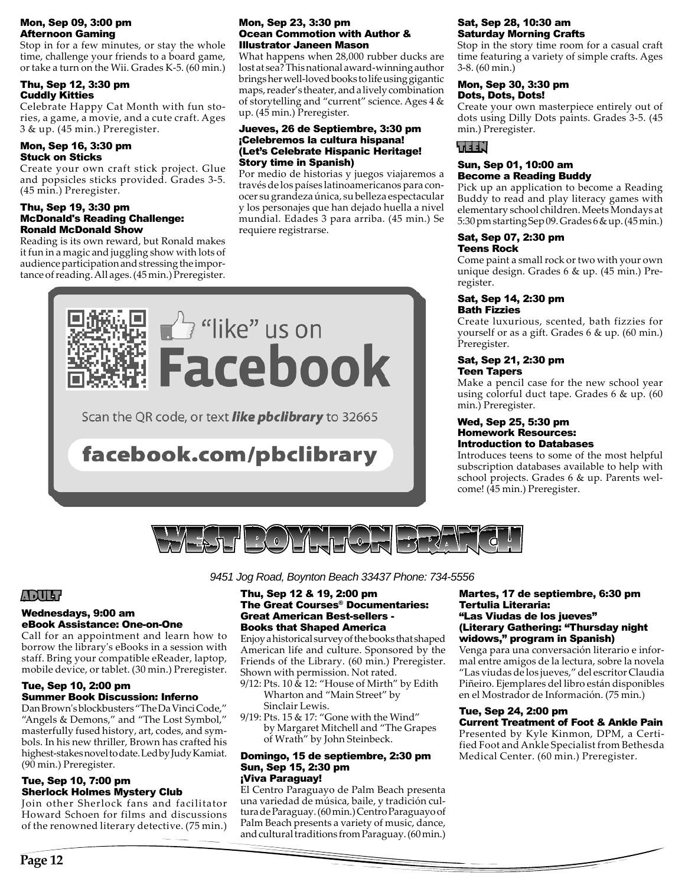#### Mon, Sep 09, 3:00 pm Afternoon Gaming

Stop in for a few minutes, or stay the whole time, challenge your friends to a board game, or take a turn on the Wii. Grades K-5. (60 min.)

#### Thu, Sep 12, 3:30 pm Cuddly Kitties

Celebrate Happy Cat Month with fun stories, a game, a movie, and a cute craft. Ages 3 & up. (45 min.) Preregister.

## Mon, Sep 16, 3:30 pm Stuck on Sticks

Create your own craft stick project. Glue and popsicles sticks provided. Grades 3-5. (45 min.) Preregister.

#### Thu, Sep 19, 3:30 pm McDonald's Reading Challenge: Ronald McDonald Show

Reading is its own reward, but Ronald makes it fun in a magic and juggling show with lots of audience participation and stressing the importance of reading. All ages. (45 min.) Preregister.

#### Mon, Sep 23, 3:30 pm Ocean Commotion with Author & Illustrator Janeen Mason

What happens when 28,000 rubber ducks are lost at sea? This national award-winning author brings her well-loved books to life using gigantic maps, reader's theater, and a lively combination of storytelling and "current" science. Ages 4 & up. (45 min.) Preregister.

#### Jueves, 26 de Septiembre, 3:30 pm ¡Celebremos la cultura hispana! (Let's Celebrate Hispanic Heritage! Story time in Spanish)

Por medio de historias y juegos viajaremos a través de los países latinoamericanos para conocer su grandeza única, su belleza espectacular y los personajes que han dejado huella a nivel mundial. Edades 3 para arriba. (45 min.) Se requiere registrarse.



Scan the QR code, or text **like pbclibrary** to 32665

## facebook.com/pbclibrary

#### Sat, Sep 28, 10:30 am Saturday Morning Crafts

Stop in the story time room for a casual craft time featuring a variety of simple crafts. Ages 3-8. (60 min.)

#### Mon, Sep 30, 3:30 pm Dots, Dots, Dots!

Create your own masterpiece entirely out of dots using Dilly Dots paints. Grades 3-5. (45 min.) Preregister.

## TEEN

#### Sun, Sep 01, 10:00 am Become a Reading Buddy

Pick up an application to become a Reading Buddy to read and play literacy games with elementary school children. Meets Mondays at 5:30 pm starting Sep 09. Grades 6 & up. (45 min.)

#### Sat, Sep 07, 2:30 pm Teens Rock

Come paint a small rock or two with your own unique design. Grades 6 & up. (45 min.) Preregister.

#### Sat, Sep 14, 2:30 pm Bath Fizzies

Create luxurious, scented, bath fizzies for yourself or as a gift. Grades 6 & up. (60 min.) Preregister.

#### Sat, Sep 21, 2:30 pm Teen Tapers

Make a pencil case for the new school year using colorful duct tape. Grades 6 & up. (60 min.) Preregister.

#### Wed, Sep 25, 5:30 pm Homework Resources: Introduction to Databases

Introduces teens to some of the most helpful subscription databases available to help with school projects. Grades 6 & up. Parents welcome! (45 min.) Preregister.



## ADULT

#### Wednesdays, 9:00 am eBook Assistance: One-on-One

Call for an appointment and learn how to borrow the library's eBooks in a session with staff. Bring your compatible eReader, laptop, mobile device, or tablet. (30 min.) Preregister.

#### Tue, Sep 10, 2:00 pm Summer Book Discussion: Inferno

Dan Brown's blockbusters "The Da Vinci Code," "Angels & Demons," and "The Lost Symbol," masterfully fused history, art, codes, and symbols. In his new thriller, Brown has crafted his highest-stakes novel to date. Led by Judy Kamiat. (90 min.) Preregister.

#### Tue, Sep 10, 7:00 pm Sherlock Holmes Mystery Club

Join other Sherlock fans and facilitator Howard Schoen for films and discussions of the renowned literary detective. (75 min.)

*9451 Jog Road, Boynton Beach 33437 Phone: 734-5556* 

#### Thu, Sep 12 & 19, 2:00 pm The Great Courses® Documentaries: Great American Best-sellers - Books that Shaped America

Enjoy a historical survey of the books that shaped American life and culture. Sponsored by the Friends of the Library. (60 min.) Preregister. Shown with permission. Not rated.

- 9/12: Pts. 10 & 12: "House of Mirth" by Edith Wharton and "Main Street" by Sinclair Lewis.
- 9/19: Pts. 15 & 17: "Gone with the Wind" by Margaret Mitchell and "The Grapes of Wrath" by John Steinbeck.

#### Domingo, 15 de septiembre, 2:30 pm Sun, Sep 15, 2:30 pm ¡Viva Paraguay!

El Centro Paraguayo de Palm Beach presenta una variedad de música, baile, y tradición cultura de Paraguay. (60 min.) Centro Paraguayo of Palm Beach presents a variety of music, dance, and cultural traditions from Paraguay. (60 min.)

#### Martes, 17 de septiembre, 6:30 pm Tertulia Literaria: "Las Viudas de los jueves" (Literary Gathering: "Thursday night widows," program in Spanish)

Venga para una conversación literario e informal entre amigos de la lectura, sobre la novela "Las viudas de los jueves," del escritor Claudia Piñeiro. Ejemplares del libro están disponibles en el Mostrador de Información. (75 min.)

## Tue, Sep 24, 2:00 pm

Current Treatment of Foot & Ankle Pain Presented by Kyle Kinmon, DPM, a Certified Foot and Ankle Specialist from Bethesda

Medical Center. (60 min.) Preregister.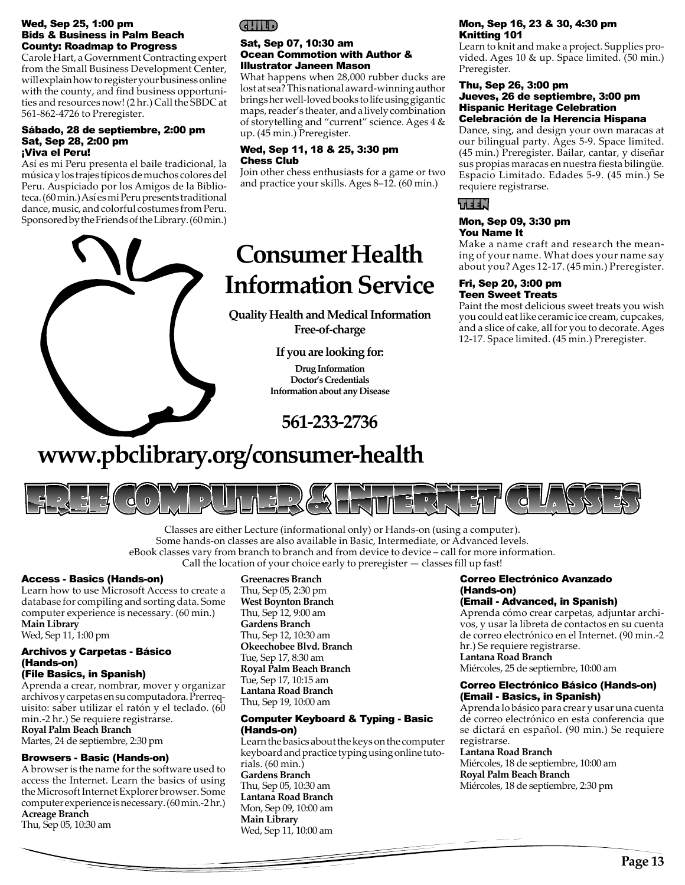#### Wed, Sep 25, 1:00 pm Bids & Business in Palm Beach County: Roadmap to Progress

Carole Hart, a Government Contracting expert from the Small Business Development Center, will explain how to register your business online with the county, and find business opportunities and resources now! (2 hr.) Call the SBDC at 561-862-4726 to Preregister.

#### Sábado, 28 de septiembre, 2:00 pm Sat, Sep 28, 2:00 pm ¡Viva el Peru!

Así es mi Peru presenta el baile tradicional, la música y los trajes típicos de muchos colores del Peru. Auspiciado por los Amigos de la Biblioteca. (60 min.) Así es mi Peru presents traditional dance, music, and colorful costumes from Peru. Sponsored by the Friends of the Library. (60 min.)



#### Sat, Sep 07, 10:30 am Ocean Commotion with Author & Illustrator Janeen Mason

What happens when 28,000 rubber ducks are lost at sea? This national award-winning author brings her well-loved books to life using gigantic maps, reader's theater, and a lively combination of storytelling and "current" science. Ages 4 & up. (45 min.) Preregister.

#### Wed, Sep 11, 18 & 25, 3:30 pm Chess Club

Join other chess enthusiasts for a game or two and practice your skills. Ages 8–12. (60 min.)

# **Consumer Health Information Service**

**Quality Health and Medical Information Free-of-charge**

**If you are looking for:**

**Drug Information Doctor's Credentials Information about any Disease**



## **www.pbclibrary.org/consumer-health**



Classes are either Lecture (informational only) or Hands-on (using a computer). Some hands-on classes are also available in Basic, Intermediate, or Advanced levels. eBook classes vary from branch to branch and from device to device – call for more information. Call the location of your choice early to preregister — classes fill up fast!

#### Access - Basics (Hands-on)

Learn how to use Microsoft Access to create a database for compiling and sorting data. Some computer experience is necessary. (60 min.) **Main Library**

Wed, Sep 11, 1:00 pm

## Archivos y Carpetas - Básico (Hands-on)

(File Basics, in Spanish)

Aprenda a crear, nombrar, mover y organizar archivos y carpetas en su computadora. Prerrequisito: saber utilizar el ratón y el teclado. (60 min.-2 hr.) Se requiere registrarse. **Royal Palm Beach Branch**

Martes, 24 de septiembre, 2:30 pm

#### Browsers - Basic (Hands-on)

A browser is the name for the software used to access the Internet. Learn the basics of using the Microsoft Internet Explorer browser. Some computer experience is necessary. (60 min.-2 hr.) **Acreage Branch**

Thu, Sep 05, 10:30 am

#### **Greenacres Branch**

Thu, Sep 05, 2:30 pm **West Boynton Branch** Thu, Sep 12, 9:00 am **Gardens Branch** Thu, Sep 12, 10:30 am **Okeechobee Blvd. Branch** Tue, Sep 17, 8:30 am **Royal Palm Beach Branch** Tue, Sep 17, 10:15 am **Lantana Road Branch** Thu, Sep 19, 10:00 am

#### Computer Keyboard & Typing - Basic (Hands-on)

Learn the basics about the keys on the computer keyboard and practice typing using online tutorials. (60 min.) **Gardens Branch** Thu, Sep 05, 10:30 am **Lantana Road Branch** Mon, Sep 09, 10:00 am **Main Library** Wed, Sep 11, 10:00 am

#### Mon, Sep 16, 23 & 30, 4:30 pm Knitting 101

Learn to knit and make a project. Supplies provided. Ages 10 & up. Space limited. (50 min.) Preregister.

#### Thu, Sep 26, 3:00 pm Jueves, 26 de septiembre, 3:00 pm Hispanic Heritage Celebration Celebración de la Herencia Hispana

Dance, sing, and design your own maracas at our bilingual party. Ages 5-9. Space limited. (45 min.) Preregister. Bailar, cantar, y diseñar sus propias maracas en nuestra fiesta bilingüe. Espacio Limitado. Edades 5-9. (45 min.) Se requiere registrarse.

## LEEN d

#### Mon, Sep 09, 3:30 pm You Name It

Make a name craft and research the meaning of your name. What does your name say about you? Ages 12-17. (45 min.) Preregister.

#### Fri, Sep 20, 3:00 pm Teen Sweet Treats

Paint the most delicious sweet treats you wish you could eat like ceramic ice cream, cupcakes, and a slice of cake, all for you to decorate. Ages 12-17. Space limited. (45 min.) Preregister.

#### Correo Electrónico Avanzado (Hands-on)

#### (Email - Advanced, in Spanish)

Aprenda cómo crear carpetas, adjuntar archivos, y usar la libreta de contactos en su cuenta de correo electrónico en el Internet. (90 min.-2 hr.) Se requiere registrarse. **Lantana Road Branch**

Miércoles, 25 de septiembre, 10:00 am

#### Correo Electrónico Básico (Hands-on) (Email - Basics, in Spanish)

Aprenda lo básico para crear y usar una cuenta de correo electrónico en esta conferencia que se dictará en español. (90 min.) Se requiere registrarse.

#### **Lantana Road Branch**

Miércoles, 18 de septiembre, 10:00 am **Royal Palm Beach Branch** Miércoles, 18 de septiembre, 2:30 pm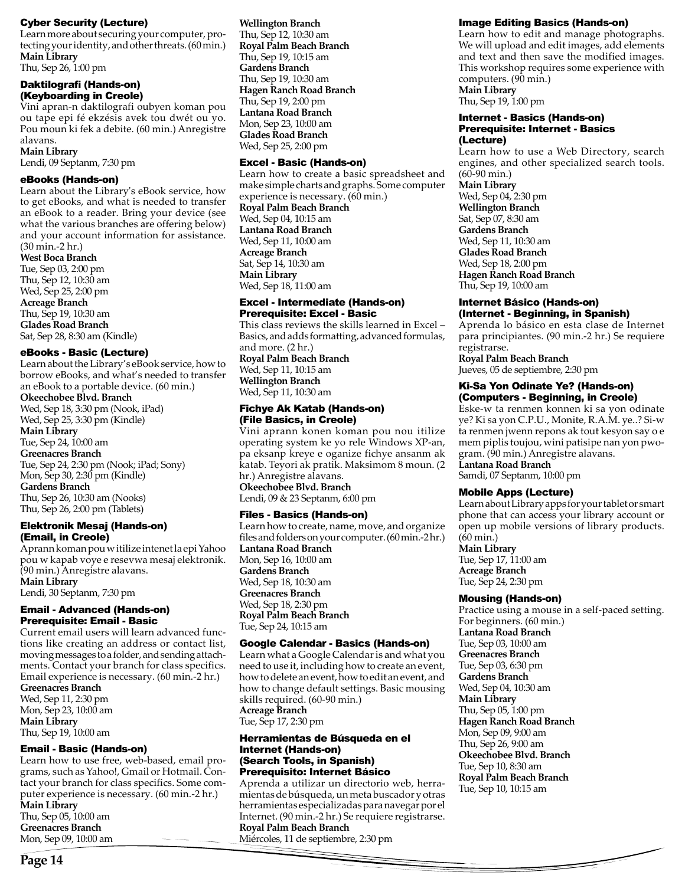#### Cyber Security (Lecture)

Learn more about securing your computer, protecting your identity, and other threats. (60 min.) **Main Library**

Thu, Sep 26, 1:00 pm

#### Daktilografi (Hands-on) (Keyboarding in Creole)

Vini apran-n daktilografi oubyen koman pou ou tape epi fé ekzésis avek tou dwét ou yo. Pou moun ki fek a debite. (60 min.) Anregistre alavans.

#### **Main Library**

Lendi, 09 Septanm, 7:30 pm

#### eBooks (Hands-on)

Learn about the Library's eBook service, how to get eBooks, and what is needed to transfer an eBook to a reader. Bring your device (see what the various branches are offering below) and your account information for assistance. (30 min.-2 hr.)

**West Boca Branch**

Tue, Sep 03, 2:00 pm Thu, Sep 12, 10:30 am Wed, Sep 25, 2:00 pm **Acreage Branch** Thu, Sep 19, 10:30 am **Glades Road Branch** Sat, Sep 28, 8:30 am (Kindle)

#### eBooks - Basic (Lecture)

Learn about the Library's eBook service, how to borrow eBooks, and what's needed to transfer an eBook to a portable device. (60 min.)

**Okeechobee Blvd. Branch** Wed, Sep 18, 3:30 pm (Nook, iPad) Wed, Sep 25, 3:30 pm (Kindle) **Main Library** Tue, Sep 24, 10:00 am **Greenacres Branch** Tue, Sep 24, 2:30 pm (Nook; iPad; Sony) Mon, Sep 30, 2:30 pm (Kindle)

**Gardens Branch** Thu, Sep 26, 10:30 am (Nooks) Thu, Sep 26, 2:00 pm (Tablets)

#### Elektronik Mesaj (Hands-on) (Email, in Creole)

Aprann koman pou w itilize intenet la epi Yahoo pou w kapab voye e resevwa mesaj elektronik. (90 min.) Anregistre alavans. **Main Library**

Lendi, 30 Septanm, 7:30 pm

## Email - Advanced (Hands-on) Prerequisite: Email - Basic

Current email users will learn advanced functions like creating an address or contact list, moving messages to a folder, and sending attachments. Contact your branch for class specifics. Email experience is necessary. (60 min.-2 hr.)

**Greenacres Branch**

Wed, Sep 11, 2:30 pm Mon, Sep 23, 10:00 am **Main Library** Thu, Sep 19, 10:00 am

## Email - Basic (Hands-on)

Learn how to use free, web-based, email programs, such as Yahoo!, Gmail or Hotmail. Contact your branch for class specifics. Some computer experience is necessary. (60 min.-2 hr.) **Main Library** Thu, Sep 05, 10:00 am **Greenacres Branch** Mon, Sep 09, 10:00 am

**Wellington Branch** Thu, Sep 12, 10:30 am **Royal Palm Beach Branch** Thu, Sep 19, 10:15 am **Gardens Branch** Thu, Sep 19, 10:30 am **Hagen Ranch Road Branch** Thu, Sep 19, 2:00 pm **Lantana Road Branch** Mon, Sep 23, 10:00 am **Glades Road Branch** Wed, Sep 25, 2:00 pm

## Excel - Basic (Hands-on)

Learn how to create a basic spreadsheet and make simple charts and graphs. Some computer experience is necessary. (60 min.) **Royal Palm Beach Branch** Wed, Sep 04, 10:15 am **Lantana Road Branch** Wed, Sep 11, 10:00 am **Acreage Branch** Sat, Sep 14, 10:30 am **Main Library** Wed, Sep 18, 11:00 am

#### Excel - Intermediate (Hands-on) Prerequisite: Excel - Basic

This class reviews the skills learned in Excel – Basics, and adds formatting, advanced formulas, and more. (2 hr.)

**Royal Palm Beach Branch** Wed, Sep 11, 10:15 am **Wellington Branch** Wed, Sep 11, 10:30 am

#### Fichye Ak Katab (Hands-on) (File Basics, in Creole)

Vini aprann konen koman pou nou itilize operating system ke yo rele Windows XP-an, pa eksanp kreye e oganize fichye ansanm ak katab. Teyori ak pratik. Maksimom 8 moun. (2 hr.) Anregistre alavans.

**Okeechobee Blvd. Branch** Lendi, 09 & 23 Septanm, 6:00 pm

## Files - Basics (Hands-on)

Learn how to create, name, move, and organize files and folders on your computer. (60 min.-2 hr.) **Lantana Road Branch** Mon, Sep 16, 10:00 am **Gardens Branch** Wed, Sep 18, 10:30 am **Greenacres Branch** Wed, Sep 18, 2:30 pm **Royal Palm Beach Branch** Tue, Sep 24, 10:15 am Google Calendar - Basics (Hands-on)

Learn what a Google Calendar is and what you need to use it, including how to create an event, how to delete an event, how to edit an event, and how to change default settings. Basic mousing skills required. (60-90 min.) **Acreage Branch** Tue, Sep 17, 2:30 pm

#### Herramientas de Búsqueda en el Internet (Hands-on) (Search Tools, in Spanish) Prerequisito: Internet Básico

Aprenda a utilizar un directorio web, herramientas de búsqueda, un meta buscador y otras herramientas especializadas para navegar por el Internet. (90 min.-2 hr.) Se requiere registrarse. **Royal Palm Beach Branch** Miércoles, 11 de septiembre, 2:30 pm

## Image Editing Basics (Hands-on)

Learn how to edit and manage photographs. We will upload and edit images, add elements and text and then save the modified images. This workshop requires some experience with computers. (90 min.) **Main Library**

Thu, Sep 19, 1:00 pm

#### Internet - Basics (Hands-on) Prerequisite: Internet - Basics (Lecture)

Learn how to use a Web Directory, search engines, and other specialized search tools. (60-90 min.) **Main Library** Wed, Sep 04, 2:30 pm **Wellington Branch** Sat, Sep 07, 8:30 am **Gardens Branch** Wed, Sep 11, 10:30 am **Glades Road Branch** Wed, Sep 18, 2:00 pm **Hagen Ranch Road Branch** Thu, Sep 19, 10:00 am

#### Internet Básico (Hands-on) (Internet - Beginning, in Spanish)

Aprenda lo básico en esta clase de Internet para principiantes. (90 min.-2 hr.) Se requiere registrarse.

**Royal Palm Beach Branch** Jueves, 05 de septiembre, 2:30 pm

#### Ki-Sa Yon Odinate Ye? (Hands-on) (Computers - Beginning, in Creole)

Eske-w ta renmen konnen ki sa yon odinate ye? Ki sa yon C.P.U., Monite, R.A.M. ye..? Si-w ta renmen jwenn repons ak tout kesyon say o e mem piplis toujou, wini patisipe nan yon pwogram. (90 min.) Anregistre alavans. **Lantana Road Branch**

Samdi, 07 Septanm, 10:00 pm

## Mobile Apps (Lecture)

Learn about Library apps for your tablet or smart phone that can access your library account or open up mobile versions of library products. (60 min.)

**Main Library**

Tue, Sep 17, 11:00 am **Acreage Branch** Tue, Sep 24, 2:30 pm

## Mousing (Hands-on)

Practice using a mouse in a self-paced setting. For beginners. (60 min.) **Lantana Road Branch** Tue, Sep 03, 10:00 am **Greenacres Branch** Tue, Sep 03, 6:30 pm **Gardens Branch** Wed, Sep 04, 10:30 am **Main Library** Thu, Sep 05, 1:00 pm **Hagen Ranch Road Branch** Mon, Sep 09, 9:00 am Thu, Sep 26, 9:00 am **Okeechobee Blvd. Branch** Tue, Sep 10, 8:30 am **Royal Palm Beach Branch** Tue, Sep 10, 10:15 am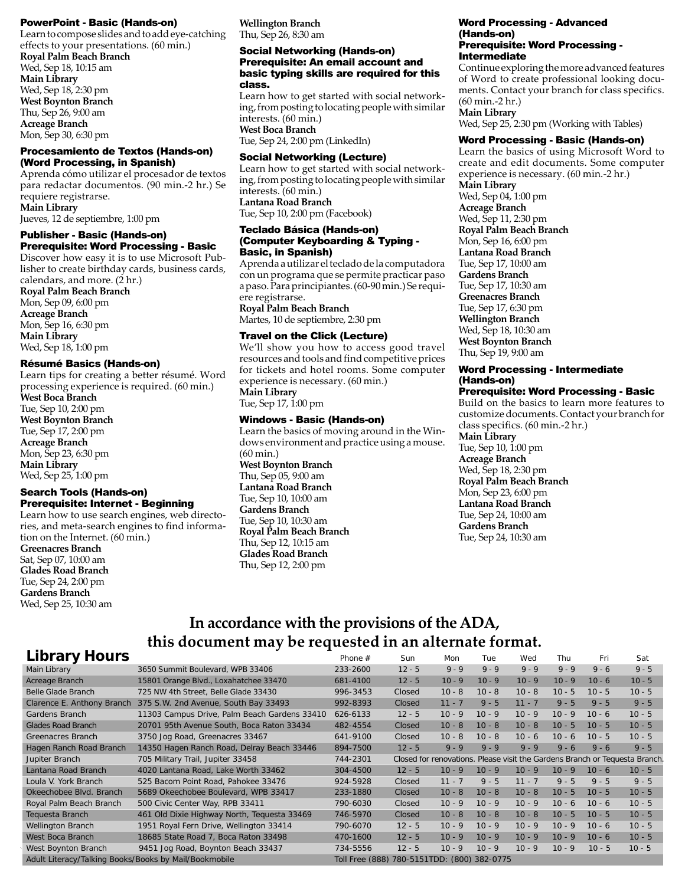#### PowerPoint - Basic (Hands-on)

Learn to compose slides and to add eye-catching effects to your presentations. (60 min.) **Royal Palm Beach Branch** Wed, Sep 18, 10:15 am **Main Library** Wed, Sep 18, 2:30 pm **West Boynton Branch** Thu, Sep 26, 9:00 am **Acreage Branch**

Mon, Sep 30, 6:30 pm

#### Procesamiento de Textos (Hands-on) (Word Processing, in Spanish)

Aprenda cómo utilizar el procesador de textos para redactar documentos. (90 min.-2 hr.) Se requiere registrarse. **Main Library**

Jueves, 12 de septiembre, 1:00 pm

#### Publisher - Basic (Hands-on) Prerequisite: Word Processing - Basic

Discover how easy it is to use Microsoft Publisher to create birthday cards, business cards, calendars, and more.  $(2 \text{ hr.})$ 

**Royal Palm Beach Branch** Mon, Sep 09, 6:00 pm **Acreage Branch** Mon, Sep 16, 6:30 pm **Main Library** Wed, Sep 18, 1:00 pm

#### Résumé Basics (Hands-on)

Learn tips for creating a better résumé. Word processing experience is required. (60 min.) **West Boca Branch** Tue, Sep 10, 2:00 pm

**West Boynton Branch** Tue, Sep 17, 2:00 pm **Acreage Branch** Mon, Sep 23, 6:30 pm **Main Library** Wed, Sep 25, 1:00 pm

#### Search Tools (Hands-on) Prerequisite: Internet - Beginning

Learn how to use search engines, web directories, and meta-search engines to find information on the Internet. (60 min.) **Greenacres Branch** Sat, Sep 07, 10:00 am **Glades Road Branch** Tue, Sep 24, 2:00 pm **Gardens Branch** Wed, Sep 25, 10:30 am

**Wellington Branch** Thu, Sep 26, 8:30 am

#### Social Networking (Hands-on) Prerequisite: An email account and basic typing skills are required for this class.

Learn how to get started with social networking, from posting to locating people with similar interests. (60 min.) **West Boca Branch**

Tue, Sep 24, 2:00 pm (LinkedIn)

#### Social Networking (Lecture)

Learn how to get started with social networking, from posting to locating people with similar interests. (60 min.) **Lantana Road Branch** Tue, Sep 10, 2:00 pm (Facebook)

#### Teclado Básica (Hands-on) (Computer Keyboarding & Typing - Basic, in Spanish)

Aprenda a utilizar el teclado de la computadora con un programa que se permite practicar paso a paso. Para principiantes. (60-90 min.) Se requiere registrarse.

**Royal Palm Beach Branch** Martes, 10 de septiembre, 2:30 pm

#### Travel on the Click (Lecture)

We'll show you how to access good travel resources and tools and find competitive prices for tickets and hotel rooms. Some computer experience is necessary. (60 min.)

**Main Library** Tue, Sep 17, 1:00 pm

#### Windows - Basic (Hands-on)

Learn the basics of moving around in the Windows environment and practice using a mouse. (60 min.)

**West Boynton Branch** Thu, Sep 05, 9:00 am **Lantana Road Branch** Tue, Sep 10, 10:00 am **Gardens Branch** Tue, Sep 10, 10:30 am **Royal Palm Beach Branch** Thu, Sep 12, 10:15 am **Glades Road Branch** Thu, Sep 12, 2:00 pm

#### Word Processing - Advanced (Hands-on) Prerequisite: Word Processing - Intermediate

Continue exploring the more advanced features of Word to create professional looking documents. Contact your branch for class specifics. (60 min.-2 hr.) **Main Library**

Wed, Sep 25, 2:30 pm (Working with Tables)

#### Word Processing - Basic (Hands-on)

Learn the basics of using Microsoft Word to create and edit documents. Some computer experience is necessary. (60 min.-2 hr.) **Main Library** Wed, Sep 04, 1:00 pm **Acreage Branch** Wed, Sep 11, 2:30 pm **Royal Palm Beach Branch** Mon, Sep 16, 6:00 pm **Lantana Road Branch** Tue, Sep 17, 10:00 am **Gardens Branch** Tue, Sep 17, 10:30 am **Greenacres Branch** Tue, Sep 17, 6:30 pm **Wellington Branch** Wed, Sep 18, 10:30 am **West Boynton Branch** Thu, Sep 19, 9:00 am

#### Word Processing - Intermediate (Hands-on)

#### Prerequisite: Word Processing - Basic

Build on the basics to learn more features to customize documents. Contact your branch for class specifics. (60 min.-2 hr.) **Main Library** Tue, Sep 10, 1:00 pm **Acreage Branch** Wed, Sep 18, 2:30 pm **Royal Palm Beach Branch** Mon, Sep 23, 6:00 pm **Lantana Road Branch** Tue, Sep 24, 10:00 am **Gardens Branch** Tue, Sep 24, 10:30 am

## **In accordance with the provisions of the ADA,**  this document may be requested in an alternate format.

| LIDI di y NOUI S                                      |                                              | Phone #                                     | Sun      | Mon      | l ue     | Wed      | Thu I    | Fri      | Sat                                                                         |
|-------------------------------------------------------|----------------------------------------------|---------------------------------------------|----------|----------|----------|----------|----------|----------|-----------------------------------------------------------------------------|
| Main Library                                          | 3650 Summit Boulevard, WPB 33406             | 233-2600                                    | $12 - 5$ | $9 - 9$  | $9 - 9$  | $9 - 9$  | $9 - 9$  | $9 - 6$  | $9 - 5$                                                                     |
| Acreage Branch                                        | 15801 Orange Blvd., Loxahatchee 33470        | 681-4100                                    | $12 - 5$ | $10 - 9$ | $10 - 9$ | $10 - 9$ | $10 - 9$ | $10 - 6$ | $10 - 5$                                                                    |
| Belle Glade Branch                                    | 725 NW 4th Street, Belle Glade 33430         | 996-3453                                    | Closed   | $10 - 8$ | $10 - 8$ | $10 - 8$ | $10 - 5$ | $10 - 5$ | $10 - 5$                                                                    |
| Clarence E. Anthony Branch                            | 375 S.W. 2nd Avenue, South Bay 33493         | 992-8393                                    | Closed   | $11 - 7$ | $9 - 5$  | $11 - 7$ | $9 - 5$  | $9 - 5$  | $9 - 5$                                                                     |
| Gardens Branch                                        | 11303 Campus Drive, Palm Beach Gardens 33410 | 626-6133                                    | $12 - 5$ | $10 - 9$ | $10 - 9$ | $10 - 9$ | $10 - 9$ | $10 - 6$ | $10 - 5$                                                                    |
| <b>Glades Road Branch</b>                             | 20701 95th Avenue South, Boca Raton 33434    | 482-4554                                    | Closed   | $10 - 8$ | $10 - 8$ | $10 - 8$ | $10 - 5$ | $10 - 5$ | $10 - 5$                                                                    |
| Greenacres Branch                                     | 3750 Jog Road, Greenacres 33467              | 641-9100                                    | Closed   | $10 - 8$ | $10 - 8$ | $10 - 6$ | $10 - 6$ | $10 - 5$ | $10 - 5$                                                                    |
| Hagen Ranch Road Branch                               | 14350 Hagen Ranch Road, Delray Beach 33446   | 894-7500                                    | $12 - 5$ | $9 - 9$  | $9 - 9$  | $9 - 9$  | $9 - 6$  | $9 - 6$  | $9 - 5$                                                                     |
| Jupiter Branch                                        | 705 Military Trail, Jupiter 33458            | 744-2301                                    |          |          |          |          |          |          | Closed for renovations. Please visit the Gardens Branch or Tequesta Branch. |
| Lantana Road Branch                                   | 4020 Lantana Road, Lake Worth 33462          | 304-4500                                    | $12 - 5$ | $10 - 9$ | $10 - 9$ | $10 - 9$ | $10 - 9$ | $10 - 6$ | $10 - 5$                                                                    |
| Loula V. York Branch                                  | 525 Bacom Point Road, Pahokee 33476          | 924-5928                                    | Closed   | $11 - 7$ | $9 - 5$  | $11 - 7$ | $9 - 5$  | $9 - 5$  | $9 - 5$                                                                     |
| Okeechobee Blyd. Branch                               | 5689 Okeechobee Boulevard, WPB 33417         | 233-1880                                    | Closed   | $10 - 8$ | $10 - 8$ | $10 - 8$ | $10 - 5$ | $10 - 5$ | $10 - 5$                                                                    |
| Royal Palm Beach Branch                               | 500 Civic Center Way, RPB 33411              | 790-6030                                    | Closed   | $10 - 9$ | $10 - 9$ | $10 - 9$ | $10 - 6$ | $10 - 6$ | $10 - 5$                                                                    |
| Tequesta Branch                                       | 461 Old Dixie Highway North, Tequesta 33469  | 746-5970                                    | Closed   | $10 - 8$ | $10 - 8$ | $10 - 8$ | $10 - 5$ | $10 - 5$ | $10 - 5$                                                                    |
| Wellington Branch                                     | 1951 Royal Fern Drive, Wellington 33414      | 790-6070                                    | $12 - 5$ | $10 - 9$ | $10 - 9$ | $10 - 9$ | $10 - 9$ | $10 - 6$ | $10 - 5$                                                                    |
| West Boca Branch                                      | 18685 State Road 7, Boca Raton 33498         | 470-1600                                    | $12 - 5$ | $10 - 9$ | $10 - 9$ | $10 - 9$ | $10 - 9$ | $10 - 6$ | $10 - 5$                                                                    |
| West Boynton Branch                                   | 9451 Jog Road, Boynton Beach 33437           | 734-5556                                    | $12 - 5$ | $10 - 9$ | $10 - 9$ | $10 - 9$ | $10 - 9$ | $10 - 5$ | $10 - 5$                                                                    |
| Adult Literacy/Talking Books/Books by Mail/Bookmobile |                                              | Toll Free (888) 780-5151TDD: (800) 382-0775 |          |          |          |          |          |          |                                                                             |
|                                                       |                                              |                                             |          |          |          |          |          |          |                                                                             |